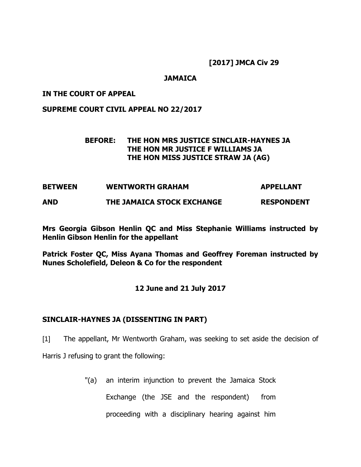**[2017] JMCA Civ 29**

#### **JAMAICA**

#### **IN THE COURT OF APPEAL**

#### **SUPREME COURT CIVIL APPEAL NO 22/2017**

## **BEFORE: THE HON MRS JUSTICE SINCLAIR-HAYNES JA THE HON MR JUSTICE F WILLIAMS JA THE HON MISS JUSTICE STRAW JA (AG)**

| <b>BETWEEN</b> | <b>WENTWORTH GRAHAM</b>    | <b>APPELLANT</b>  |
|----------------|----------------------------|-------------------|
| <b>AND</b>     | THE JAMAICA STOCK EXCHANGE | <b>RESPONDENT</b> |

**Mrs Georgia Gibson Henlin QC and Miss Stephanie Williams instructed by Henlin Gibson Henlin for the appellant**

**Patrick Foster QC, Miss Ayana Thomas and Geoffrey Foreman instructed by Nunes Scholefield, Deleon & Co for the respondent**

### **12 June and 21 July 2017**

### **SINCLAIR-HAYNES JA (DISSENTING IN PART)**

[1] The appellant, Mr Wentworth Graham, was seeking to set aside the decision of

Harris J refusing to grant the following:

"(a) an interim injunction to prevent the Jamaica Stock Exchange (the JSE and the respondent) from proceeding with a disciplinary hearing against him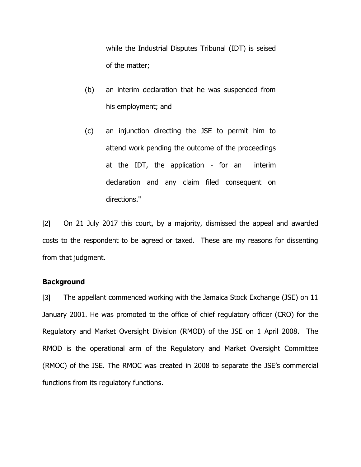while the Industrial Disputes Tribunal (IDT) is seised of the matter;

- (b) an interim declaration that he was suspended from his employment; and
- (c) an injunction directing the JSE to permit him to attend work pending the outcome of the proceedings at the IDT, the application - for an interim declaration and any claim filed consequent on directions."

[2] On 21 July 2017 this court, by a majority, dismissed the appeal and awarded costs to the respondent to be agreed or taxed. These are my reasons for dissenting from that judgment.

#### **Background**

[3] The appellant commenced working with the Jamaica Stock Exchange (JSE) on 11 January 2001. He was promoted to the office of chief regulatory officer (CRO) for the Regulatory and Market Oversight Division (RMOD) of the JSE on 1 April 2008. The RMOD is the operational arm of the Regulatory and Market Oversight Committee (RMOC) of the JSE. The RMOC was created in 2008 to separate the JSE's commercial functions from its regulatory functions.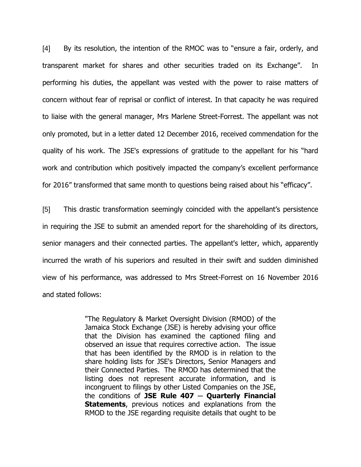[4] By its resolution, the intention of the RMOC was to "ensure a fair, orderly, and transparent market for shares and other securities traded on its Exchange". In performing his duties, the appellant was vested with the power to raise matters of concern without fear of reprisal or conflict of interest. In that capacity he was required to liaise with the general manager, Mrs Marlene Street-Forrest. The appellant was not only promoted, but in a letter dated 12 December 2016, received commendation for the quality of his work. The JSE's expressions of gratitude to the appellant for his "hard work and contribution which positively impacted the company's excellent performance for 2016" transformed that same month to questions being raised about his "efficacy".

[5] This drastic transformation seemingly coincided with the appellant's persistence in requiring the JSE to submit an amended report for the shareholding of its directors, senior managers and their connected parties. The appellant's letter, which, apparently incurred the wrath of his superiors and resulted in their swift and sudden diminished view of his performance, was addressed to Mrs Street-Forrest on 16 November 2016 and stated follows:

> "The Regulatory & Market Oversight Division (RMOD) of the Jamaica Stock Exchange (JSE) is hereby advising your office that the Division has examined the captioned filing and observed an issue that requires corrective action. The issue that has been identified by the RMOD is in relation to the share holding lists for JSE's Directors, Senior Managers and their Connected Parties. The RMOD has determined that the listing does not represent accurate information, and is incongruent to filings by other Listed Companies on the JSE, the conditions of **JSE Rule 407 ─ Quarterly Financial Statements**, previous notices and explanations from the RMOD to the JSE regarding requisite details that ought to be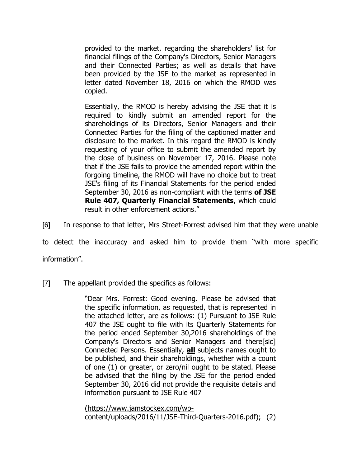provided to the market, regarding the shareholders' list for financial filings of the Company's Directors, Senior Managers and their Connected Parties; as well as details that have been provided by the JSE to the market as represented in letter dated November 18, 2016 on which the RMOD was copied.

Essentially, the RMOD is hereby advising the JSE that it is required to kindly submit an amended report for the shareholdings of its Directors, Senior Managers and their Connected Parties for the filing of the captioned matter and disclosure to the market. In this regard the RMOD is kindly requesting of your office to submit the amended report by the close of business on November 17, 2016. Please note that if the JSE fails to provide the amended report within the forgoing timeline, the RMOD will have no choice but to treat JSE's filing of its Financial Statements for the period ended September 30, 2016 as non-compliant with the terms **of JSE Rule 407, Quarterly Financial Statements**, which could result in other enforcement actions."

[6] In response to that letter, Mrs Street-Forrest advised him that they were unable

to detect the inaccuracy and asked him to provide them "with more specific

information".

[7] The appellant provided the specifics as follows:

―Dear Mrs. Forrest: Good evening. Please be advised that the specific information, as requested, that is represented in the attached letter, are as follows: (1) Pursuant to JSE Rule 407 the JSE ought to file with its Quarterly Statements for the period ended September 30,2016 shareholdings of the Company's Directors and Senior Managers and there[sic] Connected Persons. Essentially, **all** subjects names ought to be published, and their shareholdings, whether with a count of one (1) or greater, or zero/nil ought to be stated. Please be advised that the filing by the JSE for the period ended September 30, 2016 did not provide the requisite details and information pursuant to JSE Rule 407

(https://www.jamstockex.com/wpcontent/uploads/2016/11/JSE-Third-Quarters-2016.pdf); (2)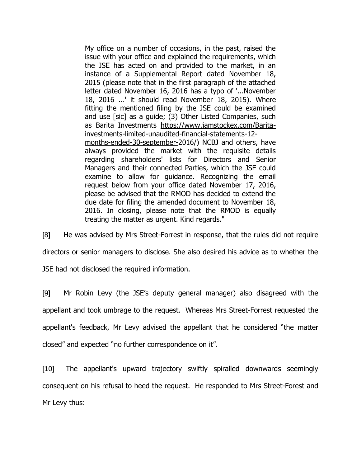My office on a number of occasions, in the past, raised the issue with your office and explained the requirements, which the JSE has acted on and provided to the market, in an instance of a Supplemental Report dated November 18, 2015 (please note that in the first paragraph of the attached letter dated November 16, 2016 has a typo of '...November 18, 2016 ...' it should read November 18, 2015). Where fitting the mentioned filing by the JSE could be examined and use [sic] as a guide; (3) Other Listed Companies, such as Barita Investments https://www.jamstockex.com/Baritainvestments-limited-unaudited-financial-statements-12 months-ended-30-september-2016/) NCBJ and others, have always provided the market with the requisite details regarding shareholders' lists for Directors and Senior Managers and their connected Parties, which the JSE could examine to allow for guidance. Recognizing the email request below from your office dated November 17, 2016, please be advised that the RMOD has decided to extend the due date for filing the amended document to November 18, 2016. In closing, please note that the RMOD is equally treating the matter as urgent. Kind regards."

[8] He was advised by Mrs Street-Forrest in response, that the rules did not require directors or senior managers to disclose. She also desired his advice as to whether the

JSE had not disclosed the required information.

[9] Mr Robin Levy (the JSE's deputy general manager) also disagreed with the appellant and took umbrage to the request. Whereas Mrs Street-Forrest requested the appellant's feedback, Mr Levy advised the appellant that he considered "the matter closed" and expected "no further correspondence on it".

[10] The appellant's upward trajectory swiftly spiralled downwards seemingly consequent on his refusal to heed the request. He responded to Mrs Street-Forest and Mr Levy thus: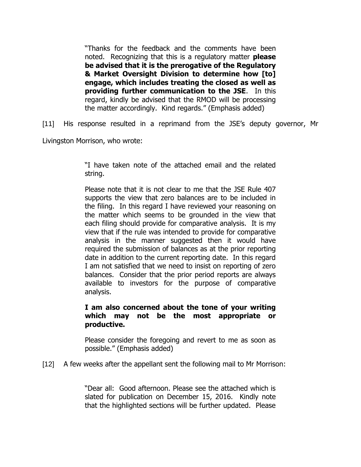"Thanks for the feedback and the comments have been noted. Recognizing that this is a regulatory matter **please be advised that it is the prerogative of the Regulatory & Market Oversight Division to determine how [to] engage, which includes treating the closed as well as providing further communication to the JSE**. In this regard, kindly be advised that the RMOD will be processing the matter accordingly. Kind regards." (Emphasis added)

[11] His response resulted in a reprimand from the JSE's deputy governor, Mr

Livingston Morrison, who wrote:

"I have taken note of the attached email and the related string.

Please note that it is not clear to me that the JSE Rule 407 supports the view that zero balances are to be included in the filing. In this regard I have reviewed your reasoning on the matter which seems to be grounded in the view that each filing should provide for comparative analysis. It is my view that if the rule was intended to provide for comparative analysis in the manner suggested then it would have required the submission of balances as at the prior reporting date in addition to the current reporting date. In this regard I am not satisfied that we need to insist on reporting of zero balances. Consider that the prior period reports are always available to investors for the purpose of comparative analysis.

## **I am also concerned about the tone of your writing which may not be the most appropriate or productive.**

Please consider the foregoing and revert to me as soon as possible.‖ (Emphasis added)

[12] A few weeks after the appellant sent the following mail to Mr Morrison:

―Dear all: Good afternoon. Please see the attached which is slated for publication on December 15, 2016. Kindly note that the highlighted sections will be further updated. Please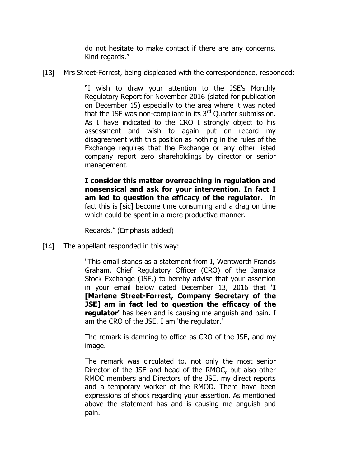do not hesitate to make contact if there are any concerns. Kind regards."

[13] Mrs Street-Forrest, being displeased with the correspondence, responded:

"I wish to draw your attention to the JSE's Monthly Regulatory Report for November 2016 (slated for publication on December 15) especially to the area where it was noted that the JSE was non-compliant in its  $3<sup>rd</sup>$  Quarter submission. As I have indicated to the CRO I strongly object to his assessment and wish to again put on record my disagreement with this position as nothing in the rules of the Exchange requires that the Exchange or any other listed company report zero shareholdings by director or senior management.

**I consider this matter overreaching in regulation and nonsensical and ask for your intervention. In fact I am led to question the efficacy of the regulator.** In fact this is [sic] become time consuming and a drag on time which could be spent in a more productive manner.

Regards.‖ (Emphasis added)

[14] The appellant responded in this way:

"This email stands as a statement from I, Wentworth Francis Graham, Chief Regulatory Officer (CRO) of the Jamaica Stock Exchange (JSE,) to hereby advise that your assertion in your email below dated December 13, 2016 that **'I [Marlene Street-Forrest, Company Secretary of the JSE] am in fact led to question the efficacy of the regulator'** has been and is causing me anguish and pain. I am the CRO of the JSE, I am 'the regulator.'

The remark is damning to office as CRO of the JSE, and my image.

The remark was circulated to, not only the most senior Director of the JSE and head of the RMOC, but also other RMOC members and Directors of the JSE, my direct reports and a temporary worker of the RMOD. There have been expressions of shock regarding your assertion. As mentioned above the statement has and is causing me anguish and pain.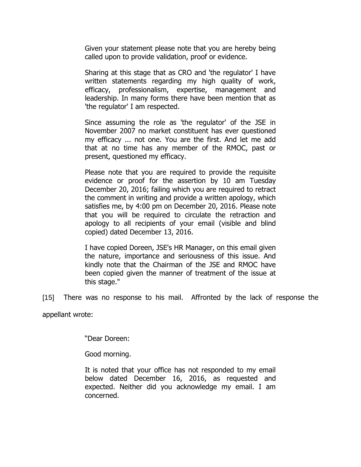Given your statement please note that you are hereby being called upon to provide validation, proof or evidence.

Sharing at this stage that as CRO and 'the regulator' I have written statements regarding my high quality of work, efficacy, professionalism, expertise, management and leadership. In many forms there have been mention that as 'the regulator' I am respected.

Since assuming the role as 'the regulator' of the JSE in November 2007 no market constituent has ever questioned my efficacy ... not one. You are the first. And let me add that at no time has any member of the RMOC, past or present, questioned my efficacy.

Please note that you are required to provide the requisite evidence or proof for the assertion by 10 am Tuesday December 20, 2016; failing which you are required to retract the comment in writing and provide a written apology, which satisfies me, by 4:00 pm on December 20, 2016. Please note that you will be required to circulate the retraction and apology to all recipients of your email (visible and blind copied) dated December 13, 2016.

I have copied Doreen, JSE's HR Manager, on this email given the nature, importance and seriousness of this issue. And kindly note that the Chairman of the JSE and RMOC have been copied given the manner of treatment of the issue at this stage."

[15] There was no response to his mail. Affronted by the lack of response the

appellant wrote:

―Dear Doreen:

Good morning.

It is noted that your office has not responded to my email below dated December 16, 2016, as requested and expected. Neither did you acknowledge my email. I am concerned.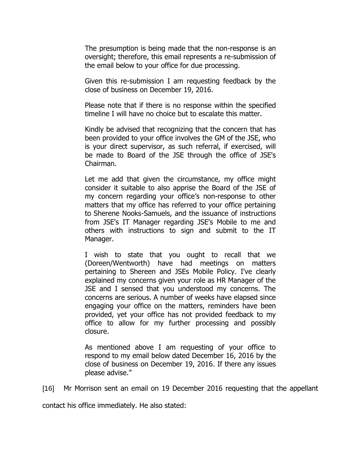The presumption is being made that the non-response is an oversight; therefore, this email represents a re-submission of the email below to your office for due processing.

Given this re-submission I am requesting feedback by the close of business on December 19, 2016.

Please note that if there is no response within the specified timeline I will have no choice but to escalate this matter.

Kindly be advised that recognizing that the concern that has been provided to your office involves the GM of the JSE, who is your direct supervisor, as such referral, if exercised, will be made to Board of the JSE through the office of JSE's Chairman.

Let me add that given the circumstance, my office might consider it suitable to also apprise the Board of the JSE of my concern regarding your office's non-response to other matters that my office has referred to your office pertaining to Sherene Nooks-Samuels, and the issuance of instructions from JSE's IT Manager regarding JSE's Mobile to me and others with instructions to sign and submit to the IT Manager.

I wish to state that you ought to recall that we (Doreen/Wentworth) have had meetings on matters pertaining to Shereen and JSEs Mobile Policy. I've clearly explained my concerns given your role as HR Manager of the JSE and I sensed that you understood my concerns. The concerns are serious. A number of weeks have elapsed since engaging your office on the matters, reminders have been provided, yet your office has not provided feedback to my office to allow for my further processing and possibly closure.

As mentioned above I am requesting of your office to respond to my email below dated December 16, 2016 by the close of business on December 19, 2016. If there any issues please advise."

[16] Mr Morrison sent an email on 19 December 2016 requesting that the appellant

contact his office immediately. He also stated: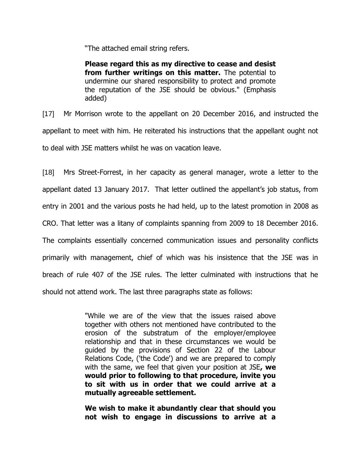"The attached email string refers.

**Please regard this as my directive to cease and desist from further writings on this matter.** The potential to undermine our shared responsibility to protect and promote the reputation of the JSE should be obvious." (Emphasis added)

[17] Mr Morrison wrote to the appellant on 20 December 2016, and instructed the appellant to meet with him. He reiterated his instructions that the appellant ought not to deal with JSE matters whilst he was on vacation leave.

[18] Mrs Street-Forrest, in her capacity as general manager, wrote a letter to the appellant dated 13 January 2017. That letter outlined the appellant's job status, from entry in 2001 and the various posts he had held, up to the latest promotion in 2008 as CRO. That letter was a litany of complaints spanning from 2009 to 18 December 2016. The complaints essentially concerned communication issues and personality conflicts primarily with management, chief of which was his insistence that the JSE was in breach of rule 407 of the JSE rules. The letter culminated with instructions that he should not attend work. The last three paragraphs state as follows:

> "While we are of the view that the issues raised above together with others not mentioned have contributed to the erosion of the substratum of the employer/employee relationship and that in these circumstances we would be guided by the provisions of Section 22 of the Labour Relations Code, ('the Code') and we are prepared to comply with the same, we feel that given your position at JSE**, we would prior to following to that procedure, invite you to sit with us in order that we could arrive at a mutually agreeable settlement.**

> **We wish to make it abundantly clear that should you not wish to engage in discussions to arrive at a**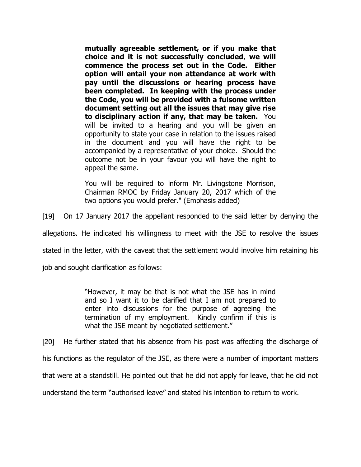**mutually agreeable settlement, or if you make that choice and it is not successfully concluded**, **we will commence the process set out in the Code. Either option will entail your non attendance at work with pay until the discussions or hearing process have been completed. In keeping with the process under the Code, you will be provided with a fulsome written document setting out all the issues that may give rise to disciplinary action if any, that may be taken.** You will be invited to a hearing and you will be given an opportunity to state your case in relation to the issues raised in the document and you will have the right to be accompanied by a representative of your choice. Should the outcome not be in your favour you will have the right to appeal the same.

You will be required to inform Mr. Livingstone Morrison, Chairman RMOC by Friday January 20, 2017 which of the two options you would prefer." (Emphasis added)

[19] On 17 January 2017 the appellant responded to the said letter by denying the

allegations. He indicated his willingness to meet with the JSE to resolve the issues

stated in the letter, with the caveat that the settlement would involve him retaining his

job and sought clarification as follows:

"However, it may be that is not what the JSE has in mind and so I want it to be clarified that I am not prepared to enter into discussions for the purpose of agreeing the termination of my employment. Kindly confirm if this is what the JSE meant by negotiated settlement."

[20] He further stated that his absence from his post was affecting the discharge of his functions as the regulator of the JSE, as there were a number of important matters that were at a standstill. He pointed out that he did not apply for leave, that he did not

understand the term "authorised leave" and stated his intention to return to work.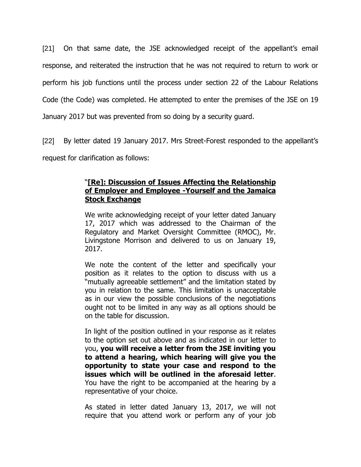[21] On that same date, the JSE acknowledged receipt of the appellant's email response, and reiterated the instruction that he was not required to return to work or perform his job functions until the process under section 22 of the Labour Relations Code (the Code) was completed. He attempted to enter the premises of the JSE on 19 January 2017 but was prevented from so doing by a security guard.

[22] By letter dated 19 January 2017. Mrs Street-Forest responded to the appellant's

request for clarification as follows:

# ―**[Re]: Discussion of Issues Affecting the Relationship of Employer and Employee -Yourself and the Jamaica Stock Exchange**

We write acknowledging receipt of your letter dated January 17, 2017 which was addressed to the Chairman of the Regulatory and Market Oversight Committee (RMOC), Mr. Livingstone Morrison and delivered to us on January 19, 2017.

We note the content of the letter and specifically your position as it relates to the option to discuss with us a "mutually agreeable settlement" and the limitation stated by you in relation to the same. This limitation is unacceptable as in our view the possible conclusions of the negotiations ought not to be limited in any way as all options should be on the table for discussion.

In light of the position outlined in your response as it relates to the option set out above and as indicated in our letter to you, **you will receive a letter from the JSE inviting you to attend a hearing, which hearing will give you the opportunity to state your case and respond to the issues which will be outlined in the aforesaid letter**. You have the right to be accompanied at the hearing by a representative of your choice.

As stated in letter dated January 13, 2017, we will not require that you attend work or perform any of your job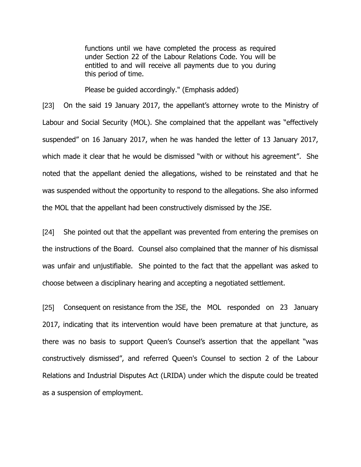functions until we have completed the process as required under Section 22 of the Labour Relations Code. You will be entitled to and will receive all payments due to you during this period of time.

Please be guided accordingly." (Emphasis added)

[23] On the said 19 January 2017, the appellant's attorney wrote to the Ministry of Labour and Social Security (MOL). She complained that the appellant was "effectively suspended" on 16 January 2017, when he was handed the letter of 13 January 2017, which made it clear that he would be dismissed "with or without his agreement". She noted that the appellant denied the allegations, wished to be reinstated and that he was suspended without the opportunity to respond to the allegations. She also informed the MOL that the appellant had been constructively dismissed by the JSE.

[24] She pointed out that the appellant was prevented from entering the premises on the instructions of the Board. Counsel also complained that the manner of his dismissal was unfair and unjustifiable. She pointed to the fact that the appellant was asked to choose between a disciplinary hearing and accepting a negotiated settlement.

[25] Consequent on resistance from the JSE, the MOL responded on 23 January 2017, indicating that its intervention would have been premature at that juncture, as there was no basis to support Queen's Counsel's assertion that the appellant "was constructively dismissed‖, and referred Queen's Counsel to section 2 of the Labour Relations and Industrial Disputes Act (LRIDA) under which the dispute could be treated as a suspension of employment.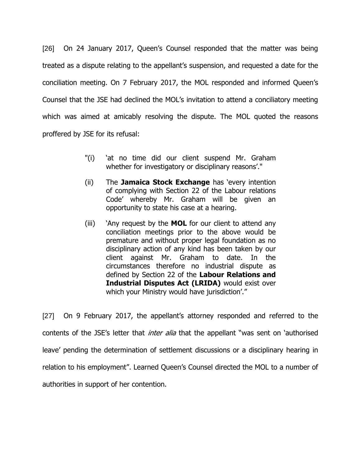[26] On 24 January 2017, Queen's Counsel responded that the matter was being treated as a dispute relating to the appellant's suspension, and requested a date for the conciliation meeting. On 7 February 2017, the MOL responded and informed Queen's Counsel that the JSE had declined the MOL's invitation to attend a conciliatory meeting which was aimed at amicably resolving the dispute. The MOL quoted the reasons proffered by JSE for its refusal:

- "(i) `at no time did our client suspend Mr. Graham whether for investigatory or disciplinary reasons'."
- (ii) The **Jamaica Stock Exchange** has 'every intention of complying with Section 22 of the Labour relations Code' whereby Mr. Graham will be given an opportunity to state his case at a hearing.
- (iii) Yany request by the **MOL** for our client to attend any conciliation meetings prior to the above would be premature and without proper legal foundation as no disciplinary action of any kind has been taken by our client against Mr. Graham to date. In the circumstances therefore no industrial dispute as defined by Section 22 of the **Labour Relations and Industrial Disputes Act (LRIDA)** would exist over which your Ministry would have jurisdiction'."

[27] On 9 February 2017, the appellant's attorney responded and referred to the contents of the JSE's letter that *inter alia* that the appellant "was sent on 'authorised leave' pending the determination of settlement discussions or a disciplinary hearing in relation to his employment". Learned Queen's Counsel directed the MOL to a number of authorities in support of her contention.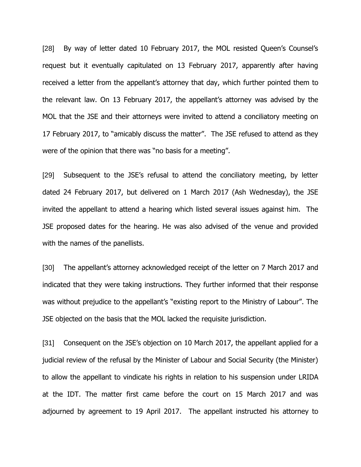[28] By way of letter dated 10 February 2017, the MOL resisted Queen's Counsel's request but it eventually capitulated on 13 February 2017, apparently after having received a letter from the appellant's attorney that day, which further pointed them to the relevant law. On 13 February 2017, the appellant's attorney was advised by the MOL that the JSE and their attorneys were invited to attend a conciliatory meeting on 17 February 2017, to "amicably discuss the matter". The JSE refused to attend as they were of the opinion that there was "no basis for a meeting".

[29] Subsequent to the JSE's refusal to attend the conciliatory meeting, by letter dated 24 February 2017, but delivered on 1 March 2017 (Ash Wednesday), the JSE invited the appellant to attend a hearing which listed several issues against him. The JSE proposed dates for the hearing. He was also advised of the venue and provided with the names of the panellists.

[30] The appellant's attorney acknowledged receipt of the letter on 7 March 2017 and indicated that they were taking instructions. They further informed that their response was without prejudice to the appellant's "existing report to the Ministry of Labour". The JSE objected on the basis that the MOL lacked the requisite jurisdiction.

[31] Consequent on the JSE's objection on 10 March 2017, the appellant applied for a judicial review of the refusal by the Minister of Labour and Social Security (the Minister) to allow the appellant to vindicate his rights in relation to his suspension under LRIDA at the IDT. The matter first came before the court on 15 March 2017 and was adjourned by agreement to 19 April 2017. The appellant instructed his attorney to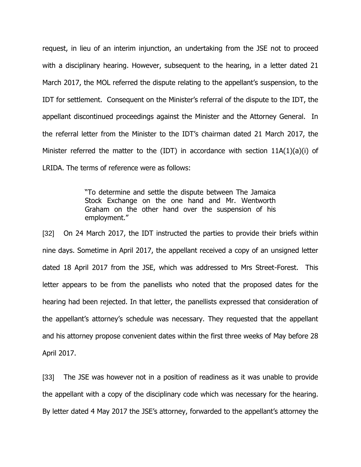request, in lieu of an interim injunction, an undertaking from the JSE not to proceed with a disciplinary hearing. However, subsequent to the hearing, in a letter dated 21 March 2017, the MOL referred the dispute relating to the appellant's suspension, to the IDT for settlement. Consequent on the Minister's referral of the dispute to the IDT, the appellant discontinued proceedings against the Minister and the Attorney General. In the referral letter from the Minister to the IDT's chairman dated 21 March 2017, the Minister referred the matter to the (IDT) in accordance with section 11A(1)(a)(i) of LRIDA. The terms of reference were as follows:

> ―To determine and settle the dispute between The Jamaica Stock Exchange on the one hand and Mr. Wentworth Graham on the other hand over the suspension of his employment."

[32] On 24 March 2017, the IDT instructed the parties to provide their briefs within nine days. Sometime in April 2017, the appellant received a copy of an unsigned letter dated 18 April 2017 from the JSE, which was addressed to Mrs Street-Forest. This letter appears to be from the panellists who noted that the proposed dates for the hearing had been rejected. In that letter, the panellists expressed that consideration of the appellant's attorney's schedule was necessary. They requested that the appellant and his attorney propose convenient dates within the first three weeks of May before 28 April 2017.

[33] The JSE was however not in a position of readiness as it was unable to provide the appellant with a copy of the disciplinary code which was necessary for the hearing. By letter dated 4 May 2017 the JSE's attorney, forwarded to the appellant's attorney the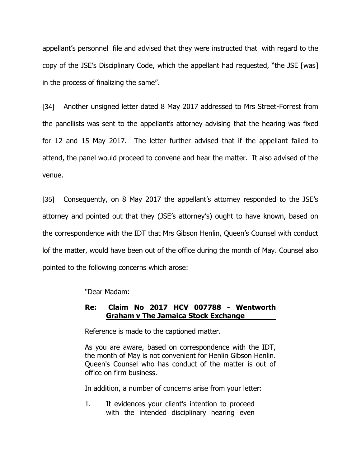appellant's personnel file and advised that they were instructed that with regard to the copy of the JSE's Disciplinary Code, which the appellant had requested, "the JSE [was] in the process of finalizing the same".

[34] Another unsigned letter dated 8 May 2017 addressed to Mrs Street-Forrest from the panellists was sent to the appellant's attorney advising that the hearing was fixed for 12 and 15 May 2017. The letter further advised that if the appellant failed to attend, the panel would proceed to convene and hear the matter. It also advised of the venue.

[35] Consequently, on 8 May 2017 the appellant's attorney responded to the JSE's attorney and pointed out that they (JSE's attorney's) ought to have known, based on the correspondence with the IDT that Mrs Gibson Henlin, Queen's Counsel with conduct lof the matter, would have been out of the office during the month of May. Counsel also pointed to the following concerns which arose:

"Dear Madam:

# **Re: Claim No 2017 HCV 007788 - Wentworth Graham v The Jamaica Stock Exchange**

Reference is made to the captioned matter.

As you are aware, based on correspondence with the IDT, the month of May is not convenient for Henlin Gibson Henlin. Queen's Counsel who has conduct of the matter is out of office on firm business.

In addition, a number of concerns arise from your letter:

1. It evidences your client's intention to proceed with the intended disciplinary hearing even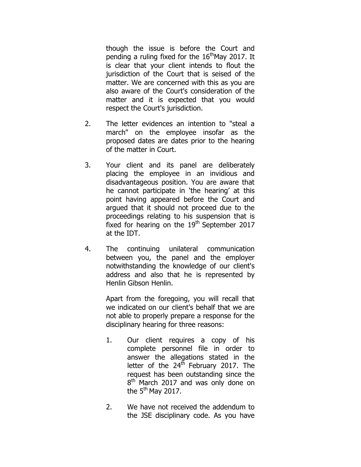though the issue is before the Court and pending a ruling fixed for the  $16<sup>th</sup>M$ ay 2017. It is clear that your client intends to flout the jurisdiction of the Court that is seised of the matter. We are concerned with this as you are also aware of the Court's consideration of the matter and it is expected that you would respect the Court's jurisdiction.

- 2. The letter evidences an intention to "steal a march" on the employee insofar as the proposed dates are dates prior to the hearing of the matter in Court.
- 3. Your client and its panel are deliberately placing the employee in an invidious and disadvantageous position. You are aware that he cannot participate in 'the hearing' at this point having appeared before the Court and argued that it should not proceed due to the proceedings relating to his suspension that is fixed for hearing on the  $19<sup>th</sup>$  September 2017 at the IDT.
- 4. The continuing unilateral communication between you, the panel and the employer notwithstanding the knowledge of our client's address and also that he is represented by Henlin Gibson Henlin.

Apart from the foregoing, you will recall that we indicated on our client's behalf that we are not able to properly prepare a response for the disciplinary hearing for three reasons:

- 1. Our client requires a copy of his complete personnel file in order to answer the allegations stated in the letter of the  $24^{\overline{th}}$  February 2017. The request has been outstanding since the 8<sup>th</sup> March 2017 and was only done on the 5<sup>th</sup> May 2017.
- 2. We have not received the addendum to the JSE disciplinary code. As you have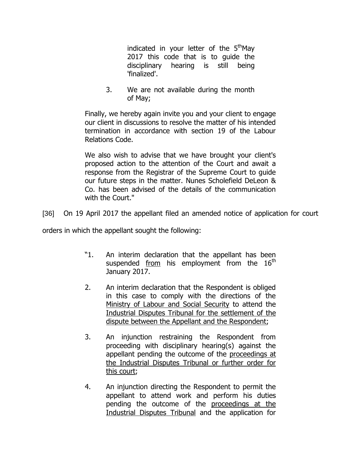indicated in your letter of the 5<sup>th</sup>May 2017 this code that is to guide the disciplinary hearing is still being 'finalized'.

3. We are not available during the month of May;

Finally, we hereby again invite you and your client to engage our client in discussions to resolve the matter of his intended termination in accordance with section 19 of the Labour Relations Code.

We also wish to advise that we have brought your client's proposed action to the attention of the Court and await a response from the Registrar of the Supreme Court to guide our future steps in the matter. Nunes Scholefield DeLeon & Co. has been advised of the details of the communication with the Court."

[36] On 19 April 2017 the appellant filed an amended notice of application for court

orders in which the appellant sought the following:

- "1. An interim declaration that the appellant has been suspended from his employment from the  $16<sup>th</sup>$ January 2017.
- 2. An interim declaration that the Respondent is obliged in this case to comply with the directions of the Ministry of Labour and Social Security to attend the Industrial Disputes Tribunal for the settlement of the dispute between the Appellant and the Respondent;
- 3. An injunction restraining the Respondent from proceeding with disciplinary hearing(s) against the appellant pending the outcome of the proceedings at the Industrial Disputes Tribunal or further order for this court;
- 4. An injunction directing the Respondent to permit the appellant to attend work and perform his duties pending the outcome of the proceedings at the Industrial Disputes Tribunal and the application for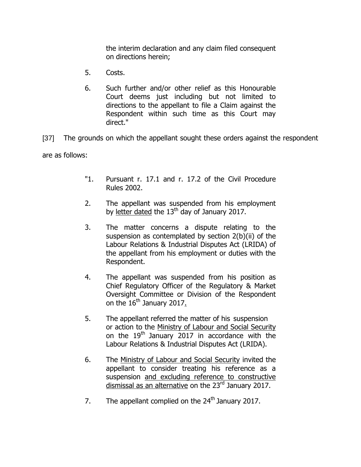the interim declaration and any claim filed consequent on directions herein;

- 5. Costs.
- 6. Such further and/or other relief as this Honourable Court deems just including but not limited to directions to the appellant to file a Claim against the Respondent within such time as this Court may direct."

[37] The grounds on which the appellant sought these orders against the respondent are as follows:

- "1. Pursuant r. 17.1 and r. 17.2 of the Civil Procedure Rules 2002.
- 2. The appellant was suspended from his employment by letter dated the 13<sup>th</sup> day of January 2017.
- 3. The matter concerns a dispute relating to the suspension as contemplated by section 2(b)(ii) of the Labour Relations & Industrial Disputes Act (LRIDA) of the appellant from his employment or duties with the Respondent.
- 4. The appellant was suspended from his position as Chief Regulatory Officer of the Regulatory & Market Oversight Committee or Division of the Respondent on the  $16<sup>th</sup>$  January 2017.
- 5. The appellant referred the matter of his suspension or action to the Ministry of Labour and Social Security on the  $19<sup>th</sup>$  January 2017 in accordance with the Labour Relations & Industrial Disputes Act (LRIDA).
- 6. The Ministry of Labour and Social Security invited the appellant to consider treating his reference as a suspension and excluding reference to constructive dismissal as an alternative on the 23<sup>rd</sup> January 2017.
- 7. The appellant complied on the  $24<sup>th</sup>$  January 2017.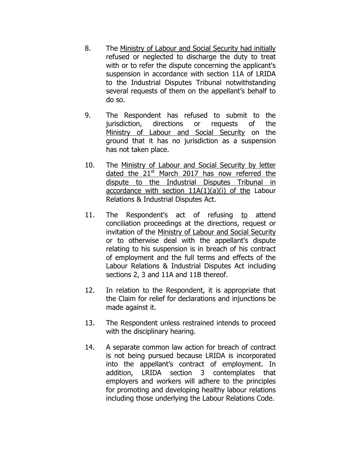- 8. The Ministry of Labour and Social Security had initially refused or neglected to discharge the duty to treat with or to refer the dispute concerning the applicant's suspension in accordance with section 11A of LRIDA to the Industrial Disputes Tribunal notwithstanding several requests of them on the appellant's behalf to do so.
- 9. The Respondent has refused to submit to the jurisdiction, directions or requests of the Ministry of Labour and Social Security on the ground that it has no jurisdiction as a suspension has not taken place.
- 10. The Ministry of Labour and Social Security by letter dated the  $21<sup>st</sup>$  March 2017 has now referred the dispute to the Industrial Disputes Tribunal in accordance with section  $11A(1)(a)(i)$  of the Labour Relations & Industrial Disputes Act.
- 11. The Respondent's act of refusing to attend conciliation proceedings at the directions, request or invitation of the Ministry of Labour and Social Security or to otherwise deal with the appellant's dispute relating to his suspension is in breach of his contract of employment and the full terms and effects of the Labour Relations & Industrial Disputes Act including sections 2, 3 and 11A and 11B thereof.
- 12. In relation to the Respondent, it is appropriate that the Claim for relief for declarations and injunctions be made against it.
- 13. The Respondent unless restrained intends to proceed with the disciplinary hearing.
- 14. A separate common law action for breach of contract is not being pursued because LRIDA is incorporated into the appellant's contract of employment. In addition, LRIDA section 3 contemplates that employers and workers will adhere to the principles for promoting and developing healthy labour relations including those underlying the Labour Relations Code.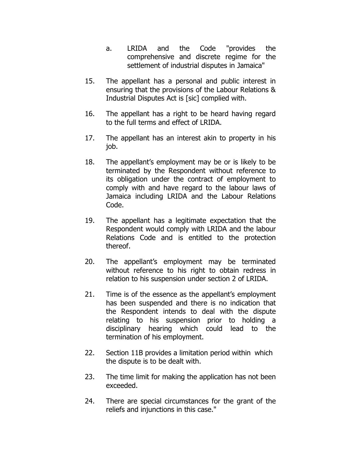- a. LRIDA and the Code "provides the comprehensive and discrete regime for the settlement of industrial disputes in Jamaica"
- 15. The appellant has a personal and public interest in ensuring that the provisions of the Labour Relations & Industrial Disputes Act is [sic] complied with.
- 16. The appellant has a right to be heard having regard to the full terms and effect of LRIDA.
- 17. The appellant has an interest akin to property in his job.
- 18. The appellant's employment may be or is likely to be terminated by the Respondent without reference to its obligation under the contract of employment to comply with and have regard to the labour laws of Jamaica including LRIDA and the Labour Relations Code.
- 19. The appellant has a legitimate expectation that the Respondent would comply with LRIDA and the labour Relations Code and is entitled to the protection thereof.
- 20. The appellant's employment may be terminated without reference to his right to obtain redress in relation to his suspension under section 2 of LRIDA.
- 21. Time is of the essence as the appellant's employment has been suspended and there is no indication that the Respondent intends to deal with the dispute relating to his suspension prior to holding a disciplinary hearing which could lead to the termination of his employment.
- 22. Section 11B provides a limitation period within which the dispute is to be dealt with.
- 23. The time limit for making the application has not been exceeded.
- 24. There are special circumstances for the grant of the reliefs and injunctions in this case."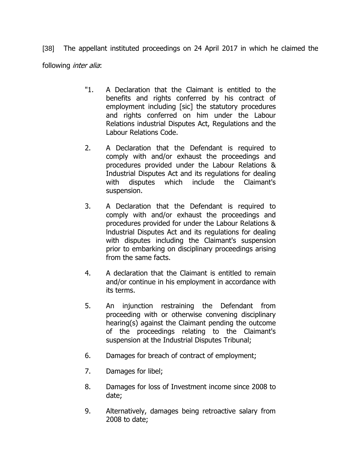[38] The appellant instituted proceedings on 24 April 2017 in which he claimed the following *inter alia*:

- "1. A Declaration that the Claimant is entitled to the benefits and rights conferred by his contract of employment including [sic] the statutory procedures and rights conferred on him under the Labour Relations industrial Disputes Act, Regulations and the Labour Relations Code.
- 2. A Declaration that the Defendant is required to comply with and/or exhaust the proceedings and procedures provided under the Labour Relations & Industrial Disputes Act and its regulations for dealing with disputes which include the Claimant's suspension.
- 3. A Declaration that the Defendant is required to comply with and/or exhaust the proceedings and procedures provided for under the Labour Relations & lndustrial Disputes Act and its regulations for dealing with disputes including the Claimant's suspension prior to embarking on disciplinary proceedings arising from the same facts.
- 4. A declaration that the Claimant is entitled to remain and/or continue in his employment in accordance with its terms.
- 5. An injunction restraining the Defendant from proceeding with or otherwise convening disciplinary hearing(s) against the Claimant pending the outcome of the proceedings relating to the Claimant's suspension at the Industrial Disputes Tribunal;
- 6. Damages for breach of contract of employment;
- 7. Damages for libel;
- 8. Damages for loss of Investment income since 2008 to date;
- 9. Alternatively, damages being retroactive salary from 2008 to date;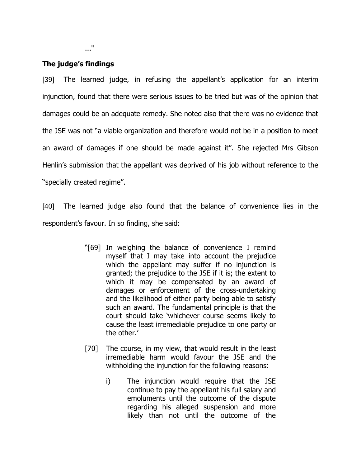..."

#### **The judge's findings**

[39] The learned judge, in refusing the appellant's application for an interim injunction, found that there were serious issues to be tried but was of the opinion that damages could be an adequate remedy. She noted also that there was no evidence that the JSE was not "a viable organization and therefore would not be in a position to meet an award of damages if one should be made against it". She rejected Mrs Gibson Henlin's submission that the appellant was deprived of his job without reference to the "specially created regime".

[40] The learned judge also found that the balance of convenience lies in the respondent's favour. In so finding, she said:

- ―[69] In weighing the balance of convenience I remind myself that I may take into account the prejudice which the appellant may suffer if no injunction is granted; the prejudice to the JSE if it is; the extent to which it may be compensated by an award of damages or enforcement of the cross-undertaking and the likelihood of either party being able to satisfy such an award. The fundamental principle is that the court should take 'whichever course seems likely to cause the least irremediable prejudice to one party or the other.'
- [70] The course, in my view, that would result in the least irremediable harm would favour the JSE and the withholding the injunction for the following reasons:
	- i) The injunction would require that the JSE continue to pay the appellant his full salary and emoluments until the outcome of the dispute regarding his alleged suspension and more likely than not until the outcome of the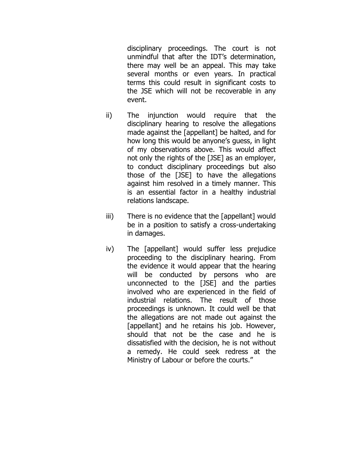disciplinary proceedings. The court is not unmindful that after the IDT's determination, there may well be an appeal. This may take several months or even years. In practical terms this could result in significant costs to the JSE which will not be recoverable in any event.

- ii) The injunction would require that the disciplinary hearing to resolve the allegations made against the [appellant] be halted, and for how long this would be anyone's guess, in light of my observations above. This would affect not only the rights of the [JSE] as an employer, to conduct disciplinary proceedings but also those of the [JSE] to have the allegations against him resolved in a timely manner. This is an essential factor in a healthy industrial relations landscape.
- iii) There is no evidence that the [appellant] would be in a position to satisfy a cross-undertaking in damages.
- iv) The [appellant] would suffer less prejudice proceeding to the disciplinary hearing. From the evidence it would appear that the hearing will be conducted by persons who are unconnected to the [JSE] and the parties involved who are experienced in the field of industrial relations. The result of those proceedings is unknown. It could well be that the allegations are not made out against the [appellant] and he retains his job. However, should that not be the case and he is dissatisfied with the decision, he is not without a remedy. He could seek redress at the Ministry of Labour or before the courts."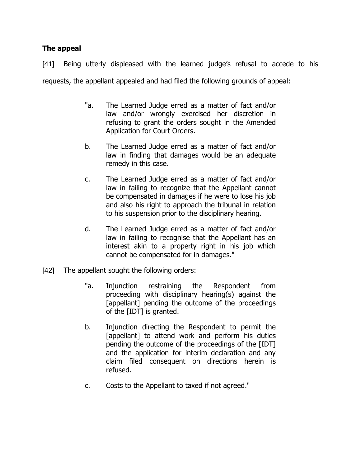# **The appeal**

[41] Being utterly displeased with the learned judge's refusal to accede to his requests, the appellant appealed and had filed the following grounds of appeal:

- "a. The Learned Judge erred as a matter of fact and/or law and/or wrongly exercised her discretion in refusing to grant the orders sought in the Amended Application for Court Orders.
- b. The Learned Judge erred as a matter of fact and/or law in finding that damages would be an adequate remedy in this case.
- c. The Learned Judge erred as a matter of fact and/or law in failing to recognize that the Appellant cannot be compensated in damages if he were to lose his job and also his right to approach the tribunal in relation to his suspension prior to the disciplinary hearing.
- d. The Learned Judge erred as a matter of fact and/or law in failing to recognise that the Appellant has an interest akin to a property right in his job which cannot be compensated for in damages."
- [42] The appellant sought the following orders:
	- "a. Injunction restraining the Respondent from proceeding with disciplinary hearing(s) against the [appellant] pending the outcome of the proceedings of the [IDT] is granted.
	- b. Injunction directing the Respondent to permit the [appellant] to attend work and perform his duties pending the outcome of the proceedings of the [IDT] and the application for interim declaration and any claim filed consequent on directions herein is refused.
	- c. Costs to the Appellant to taxed if not agreed."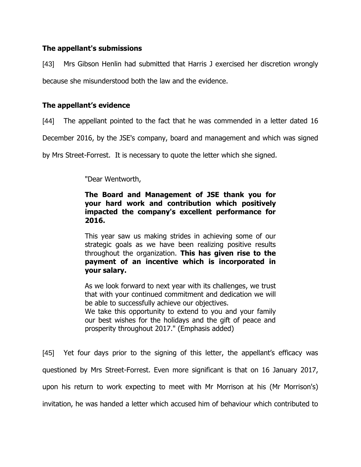# **The appellant's submissions**

[43] Mrs Gibson Henlin had submitted that Harris J exercised her discretion wrongly because she misunderstood both the law and the evidence.

## **The appellant's evidence**

[44] The appellant pointed to the fact that he was commended in a letter dated 16

December 2016, by the JSE's company, board and management and which was signed

by Mrs Street-Forrest. It is necessary to quote the letter which she signed.

"Dear Wentworth,

# **The Board and Management of JSE thank you for your hard work and contribution which positively impacted the company's excellent performance for 2016.**

This year saw us making strides in achieving some of our strategic goals as we have been realizing positive results throughout the organization. **This has given rise to the payment of an incentive which is incorporated in your salary.**

As we look forward to next year with its challenges, we trust that with your continued commitment and dedication we will be able to successfully achieve our objectives.

We take this opportunity to extend to you and your family our best wishes for the holidays and the gift of peace and prosperity throughout 2017." (Emphasis added)

[45] Yet four days prior to the signing of this letter, the appellant's efficacy was questioned by Mrs Street-Forrest. Even more significant is that on 16 January 2017, upon his return to work expecting to meet with Mr Morrison at his (Mr Morrison's) invitation, he was handed a letter which accused him of behaviour which contributed to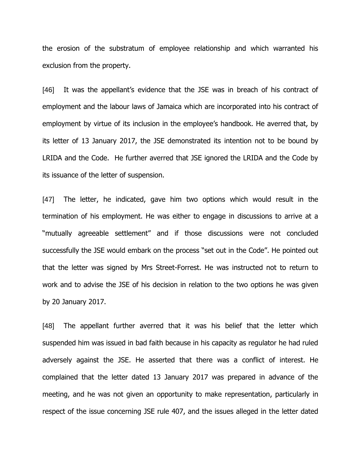the erosion of the substratum of employee relationship and which warranted his exclusion from the property.

[46] It was the appellant's evidence that the JSE was in breach of his contract of employment and the labour laws of Jamaica which are incorporated into his contract of employment by virtue of its inclusion in the employee's handbook. He averred that, by its letter of 13 January 2017, the JSE demonstrated its intention not to be bound by LRIDA and the Code. He further averred that JSE ignored the LRIDA and the Code by its issuance of the letter of suspension.

[47] The letter, he indicated, gave him two options which would result in the termination of his employment. He was either to engage in discussions to arrive at a "mutually agreeable settlement" and if those discussions were not concluded successfully the JSE would embark on the process "set out in the Code". He pointed out that the letter was signed by Mrs Street-Forrest. He was instructed not to return to work and to advise the JSE of his decision in relation to the two options he was given by 20 January 2017.

[48] The appellant further averred that it was his belief that the letter which suspended him was issued in bad faith because in his capacity as regulator he had ruled adversely against the JSE. He asserted that there was a conflict of interest. He complained that the letter dated 13 January 2017 was prepared in advance of the meeting, and he was not given an opportunity to make representation, particularly in respect of the issue concerning JSE rule 407, and the issues alleged in the letter dated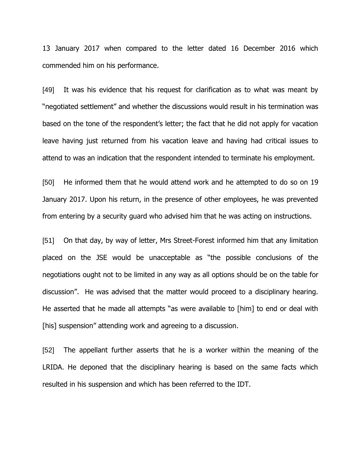13 January 2017 when compared to the letter dated 16 December 2016 which commended him on his performance.

[49] It was his evidence that his request for clarification as to what was meant by "negotiated settlement" and whether the discussions would result in his termination was based on the tone of the respondent's letter; the fact that he did not apply for vacation leave having just returned from his vacation leave and having had critical issues to attend to was an indication that the respondent intended to terminate his employment.

[50] He informed them that he would attend work and he attempted to do so on 19 January 2017. Upon his return, in the presence of other employees, he was prevented from entering by a security guard who advised him that he was acting on instructions.

[51] On that day, by way of letter, Mrs Street-Forest informed him that any limitation placed on the JSE would be unacceptable as "the possible conclusions of the negotiations ought not to be limited in any way as all options should be on the table for discussion". He was advised that the matter would proceed to a disciplinary hearing. He asserted that he made all attempts "as were available to [him] to end or deal with [his] suspension" attending work and agreeing to a discussion.

[52] The appellant further asserts that he is a worker within the meaning of the LRIDA. He deponed that the disciplinary hearing is based on the same facts which resulted in his suspension and which has been referred to the IDT.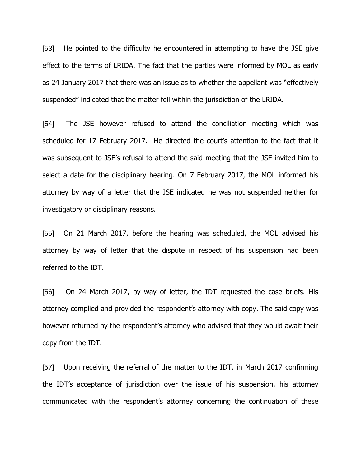[53] He pointed to the difficulty he encountered in attempting to have the JSE give effect to the terms of LRIDA. The fact that the parties were informed by MOL as early as 24 January 2017 that there was an issue as to whether the appellant was "effectively suspended" indicated that the matter fell within the jurisdiction of the LRIDA.

[54] The JSE however refused to attend the conciliation meeting which was scheduled for 17 February 2017. He directed the court's attention to the fact that it was subsequent to JSE's refusal to attend the said meeting that the JSE invited him to select a date for the disciplinary hearing. On 7 February 2017, the MOL informed his attorney by way of a letter that the JSE indicated he was not suspended neither for investigatory or disciplinary reasons.

[55] On 21 March 2017, before the hearing was scheduled, the MOL advised his attorney by way of letter that the dispute in respect of his suspension had been referred to the IDT.

[56] On 24 March 2017, by way of letter, the IDT requested the case briefs. His attorney complied and provided the respondent's attorney with copy. The said copy was however returned by the respondent's attorney who advised that they would await their copy from the IDT.

[57] Upon receiving the referral of the matter to the IDT, in March 2017 confirming the IDT's acceptance of jurisdiction over the issue of his suspension, his attorney communicated with the respondent's attorney concerning the continuation of these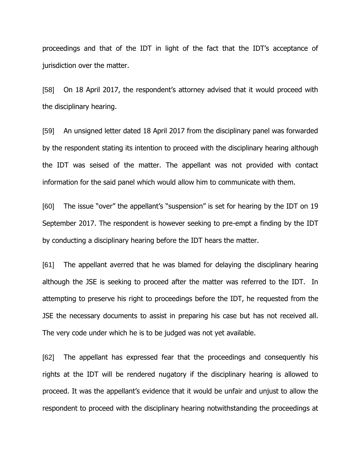proceedings and that of the IDT in light of the fact that the IDT's acceptance of jurisdiction over the matter.

[58] On 18 April 2017, the respondent's attorney advised that it would proceed with the disciplinary hearing.

[59] An unsigned letter dated 18 April 2017 from the disciplinary panel was forwarded by the respondent stating its intention to proceed with the disciplinary hearing although the IDT was seised of the matter. The appellant was not provided with contact information for the said panel which would allow him to communicate with them.

[60] The issue "over" the appellant's "suspension" is set for hearing by the IDT on 19 September 2017. The respondent is however seeking to pre-empt a finding by the IDT by conducting a disciplinary hearing before the IDT hears the matter.

[61] The appellant averred that he was blamed for delaying the disciplinary hearing although the JSE is seeking to proceed after the matter was referred to the IDT. In attempting to preserve his right to proceedings before the IDT, he requested from the JSE the necessary documents to assist in preparing his case but has not received all. The very code under which he is to be judged was not yet available.

[62] The appellant has expressed fear that the proceedings and consequently his rights at the IDT will be rendered nugatory if the disciplinary hearing is allowed to proceed. It was the appellant's evidence that it would be unfair and unjust to allow the respondent to proceed with the disciplinary hearing notwithstanding the proceedings at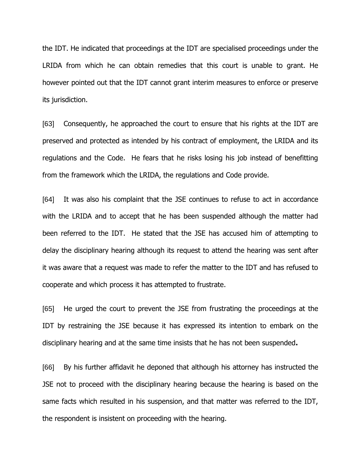the IDT. He indicated that proceedings at the IDT are specialised proceedings under the LRIDA from which he can obtain remedies that this court is unable to grant. He however pointed out that the IDT cannot grant interim measures to enforce or preserve its jurisdiction.

[63] Consequently, he approached the court to ensure that his rights at the IDT are preserved and protected as intended by his contract of employment, the LRIDA and its regulations and the Code. He fears that he risks losing his job instead of benefitting from the framework which the LRIDA, the regulations and Code provide.

[64] It was also his complaint that the JSE continues to refuse to act in accordance with the LRIDA and to accept that he has been suspended although the matter had been referred to the IDT. He stated that the JSE has accused him of attempting to delay the disciplinary hearing although its request to attend the hearing was sent after it was aware that a request was made to refer the matter to the IDT and has refused to cooperate and which process it has attempted to frustrate.

[65] He urged the court to prevent the JSE from frustrating the proceedings at the IDT by restraining the JSE because it has expressed its intention to embark on the disciplinary hearing and at the same time insists that he has not been suspended**.**

[66] By his further affidavit he deponed that although his attorney has instructed the JSE not to proceed with the disciplinary hearing because the hearing is based on the same facts which resulted in his suspension, and that matter was referred to the IDT, the respondent is insistent on proceeding with the hearing.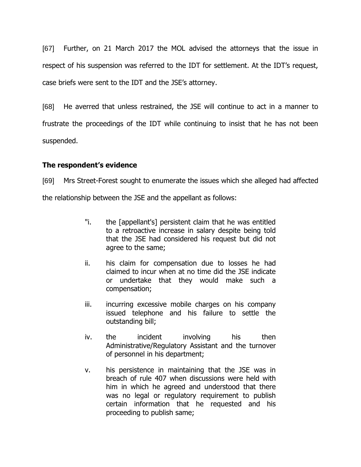[67] Further, on 21 March 2017 the MOL advised the attorneys that the issue in respect of his suspension was referred to the IDT for settlement. At the IDT's request, case briefs were sent to the IDT and the JSE's attorney.

[68] He averred that unless restrained, the JSE will continue to act in a manner to frustrate the proceedings of the IDT while continuing to insist that he has not been suspended.

# **The respondent's evidence**

[69] Mrs Street-Forest sought to enumerate the issues which she alleged had affected the relationship between the JSE and the appellant as follows:

- "i. the [appellant's] persistent claim that he was entitled to a retroactive increase in salary despite being told that the JSE had considered his request but did not agree to the same;
- ii. his claim for compensation due to losses he had claimed to incur when at no time did the JSE indicate or undertake that they would make such a compensation;
- iii. incurring excessive mobile charges on his company issued telephone and his failure to settle the outstanding bill;
- iv. the incident involving his then Administrative/Regulatory Assistant and the turnover of personnel in his department;
- v. his persistence in maintaining that the JSE was in breach of rule 407 when discussions were held with him in which he agreed and understood that there was no legal or regulatory requirement to publish certain information that he requested and his proceeding to publish same;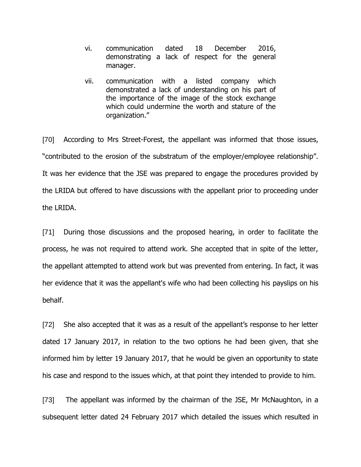- vi. communication dated 18 December 2016, demonstrating a lack of respect for the general manager.
- vii. communication with a listed company which demonstrated a lack of understanding on his part of the importance of the image of the stock exchange which could undermine the worth and stature of the organization."

[70] According to Mrs Street-Forest, the appellant was informed that those issues, "contributed to the erosion of the substratum of the employer/employee relationship". It was her evidence that the JSE was prepared to engage the procedures provided by the LRIDA but offered to have discussions with the appellant prior to proceeding under the LRIDA.

[71] During those discussions and the proposed hearing, in order to facilitate the process, he was not required to attend work. She accepted that in spite of the letter, the appellant attempted to attend work but was prevented from entering. In fact, it was her evidence that it was the appellant's wife who had been collecting his payslips on his behalf.

[72] She also accepted that it was as a result of the appellant's response to her letter dated 17 January 2017, in relation to the two options he had been given, that she informed him by letter 19 January 2017, that he would be given an opportunity to state his case and respond to the issues which, at that point they intended to provide to him.

[73] The appellant was informed by the chairman of the JSE, Mr McNaughton, in a subsequent letter dated 24 February 2017 which detailed the issues which resulted in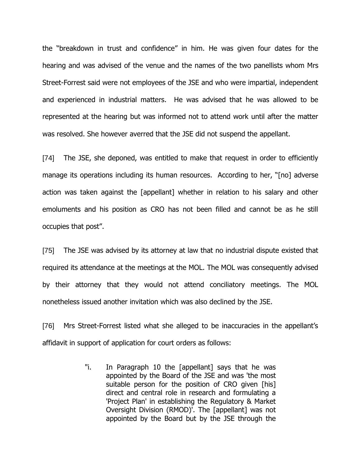the "breakdown in trust and confidence" in him. He was given four dates for the hearing and was advised of the venue and the names of the two panellists whom Mrs Street-Forrest said were not employees of the JSE and who were impartial, independent and experienced in industrial matters. He was advised that he was allowed to be represented at the hearing but was informed not to attend work until after the matter was resolved. She however averred that the JSE did not suspend the appellant.

[74] The JSE, she deponed, was entitled to make that request in order to efficiently manage its operations including its human resources. According to her, "[no] adverse action was taken against the [appellant] whether in relation to his salary and other emoluments and his position as CRO has not been filled and cannot be as he still occupies that post".

[75] The JSE was advised by its attorney at law that no industrial dispute existed that required its attendance at the meetings at the MOL. The MOL was consequently advised by their attorney that they would not attend conciliatory meetings. The MOL nonetheless issued another invitation which was also declined by the JSE.

[76] Mrs Street-Forrest listed what she alleged to be inaccuracies in the appellant's affidavit in support of application for court orders as follows:

> "i. In Paragraph 10 the [appellant] says that he was appointed by the Board of the JSE and was 'the most suitable person for the position of CRO given [his] direct and central role in research and formulating a 'Project Plan' in establishing the Regulatory & Market Oversight Division (RMOD)'. The [appellant] was not appointed by the Board but by the JSE through the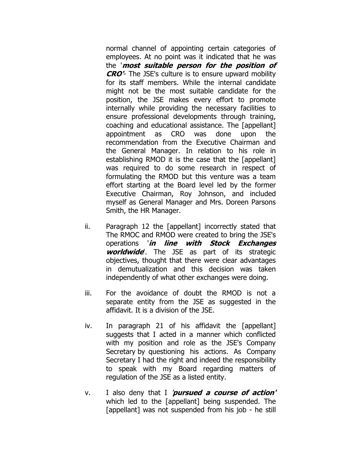normal channel of appointing certain categories of employees. At no point was it indicated that he was the '**most suitable person for the position of CRO'**- The JSE's culture is to ensure upward mobility for its staff members. While the internal candidate might not be the most suitable candidate for the position, the JSE makes every effort to promote internally while providing the necessary facilities to ensure professional developments through training, coaching and educational assistance. The [appellant] appointment as CRO was done upon the recommendation from the Executive Chairman and the General Manager. In relation to his role in establishing RMOD it is the case that the [appellant] was required to do some research in respect of formulating the RMOD but this venture was a team effort starting at the Board level led by the former Executive Chairman, Roy Johnson, and included myself as General Manager and Mrs. Doreen Parsons Smith, the HR Manager.

- ii. Paragraph 12 the [appellant] incorrectly stated that The RMOC and RMOD were created to bring the JSE's operations '**in line with Stock Exchanges worldwide**'. The JSE as part of its strategic objectives, thought that there were clear advantages in demutualization and this decision was taken independently of what other exchanges were doing.
- iii. For the avoidance of doubt the RMOD is not a separate entity from the JSE as suggested in the affidavit. It is a division of the JSE.
- iv. In paragraph 21 of his affidavit the [appellant] suggests that I acted in a manner which conflicted with my position and role as the JSE's Company Secretary by questioning his actions. As Company Secretary I had the right and indeed the responsibility to speak with my Board regarding matters of regulation of the JSE as a listed entity.
- v. I also deny that I '**pursued a course of action'** which led to the [appellant] being suspended. The [appellant] was not suspended from his job - he still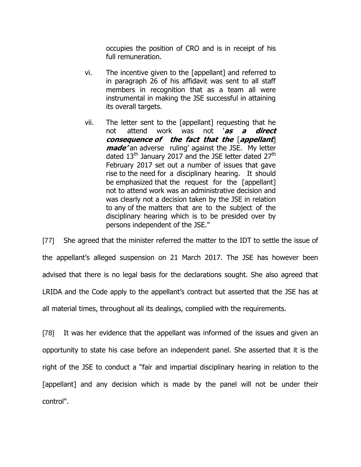occupies the position of CRO and is in receipt of his full remuneration.

- vi. The incentive given to the [appellant] and referred to in paragraph 26 of his affidavit was sent to all staff members in recognition that as a team all were instrumental in making the JSE successful in attaining its overall targets.
- vii. The letter sent to the [appellant] requesting that he not attend work was not '**as a direct consequence of the fact that the** [**appellant**] **made'** an adverse ruling' against the JSE. My letter dated  $13<sup>th</sup>$  January 2017 and the JSE letter dated  $27<sup>th</sup>$ February 2017 set out a number of issues that gave rise to the need for a disciplinary hearing. It should be emphasized that the request for the [appellant] not to attend work was an administrative decision and was clearly not a decision taken by the JSE in relation to any of the matters that are to the subject of the disciplinary hearing which is to be presided over by persons independent of the JSE."

[77] She agreed that the minister referred the matter to the IDT to settle the issue of the appellant's alleged suspension on 21 March 2017. The JSE has however been advised that there is no legal basis for the declarations sought. She also agreed that LRIDA and the Code apply to the appellant's contract but asserted that the JSE has at all material times, throughout all its dealings, complied with the requirements.

[78] It was her evidence that the appellant was informed of the issues and given an opportunity to state his case before an independent panel. She asserted that it is the right of the JSE to conduct a "fair and impartial disciplinary hearing in relation to the [appellant] and any decision which is made by the panel will not be under their control".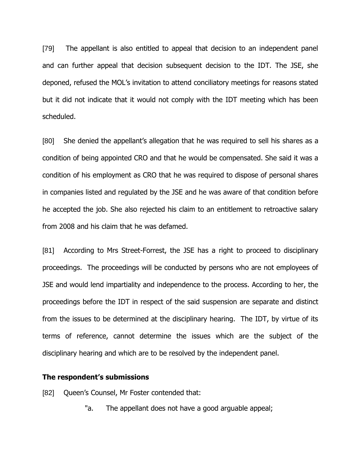[79] The appellant is also entitled to appeal that decision to an independent panel and can further appeal that decision subsequent decision to the IDT. The JSE, she deponed, refused the MOL's invitation to attend conciliatory meetings for reasons stated but it did not indicate that it would not comply with the IDT meeting which has been scheduled.

[80] She denied the appellant's allegation that he was required to sell his shares as a condition of being appointed CRO and that he would be compensated. She said it was a condition of his employment as CRO that he was required to dispose of personal shares in companies listed and regulated by the JSE and he was aware of that condition before he accepted the job. She also rejected his claim to an entitlement to retroactive salary from 2008 and his claim that he was defamed.

[81] According to Mrs Street-Forrest, the JSE has a right to proceed to disciplinary proceedings. The proceedings will be conducted by persons who are not employees of JSE and would lend impartiality and independence to the process. According to her, the proceedings before the IDT in respect of the said suspension are separate and distinct from the issues to be determined at the disciplinary hearing. The IDT, by virtue of its terms of reference, cannot determine the issues which are the subject of the disciplinary hearing and which are to be resolved by the independent panel.

### **The respondent's submissions**

[82] Queen's Counsel, Mr Foster contended that:

"a. The appellant does not have a good arguable appeal;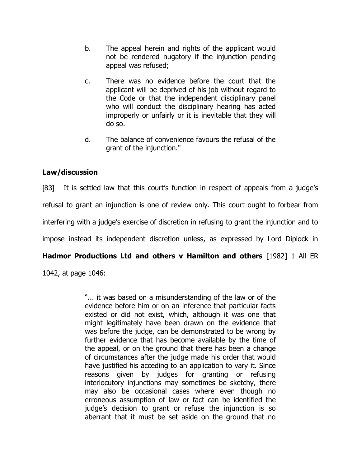- b. The appeal herein and rights of the applicant would not be rendered nugatory if the injunction pending appeal was refused;
- c. There was no evidence before the court that the applicant will be deprived of his job without regard to the Code or that the independent disciplinary panel who will conduct the disciplinary hearing has acted improperly or unfairly or it is inevitable that they will do so.
- d. The balance of convenience favours the refusal of the grant of the injunction."

## **Law/discussion**

[83] It is settled law that this court's function in respect of appeals from a judge's refusal to grant an injunction is one of review only. This court ought to forbear from interfering with a judge's exercise of discretion in refusing to grant the injunction and to impose instead its independent discretion unless, as expressed by Lord Diplock in

## **Hadmor Productions Ltd and others v Hamilton and others** [1982] 1 All ER

1042, at page 1046:

"... it was based on a misunderstanding of the law or of the evidence before him or on an inference that particular facts existed or did not exist, which, although it was one that might legitimately have been drawn on the evidence that was before the judge, can be demonstrated to be wrong by further evidence that has become available by the time of the appeal, or on the ground that there has been a change of circumstances after the judge made his order that would have justified his acceding to an application to vary it. Since reasons given by judges for granting or refusing interlocutory injunctions may sometimes be sketchy, there may also be occasional cases where even though no erroneous assumption of law or fact can be identified the judge's decision to grant or refuse the injunction is so aberrant that it must be set aside on the ground that no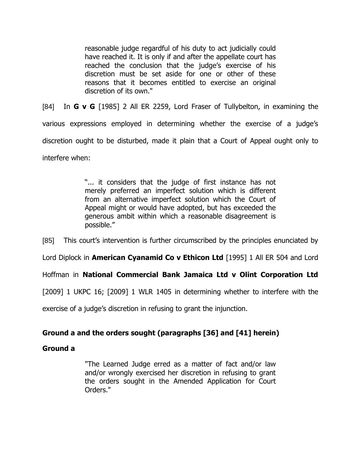reasonable judge regardful of his duty to act judicially could have reached it. It is only if and after the appellate court has reached the conclusion that the judge's exercise of his discretion must be set aside for one or other of these reasons that it becomes entitled to exercise an original discretion of its own."

[84] In **G v G** [1985] 2 All ER 2259, Lord Fraser of Tullybelton, in examining the various expressions employed in determining whether the exercise of a judge's discretion ought to be disturbed, made it plain that a Court of Appeal ought only to interfere when:

> "... it considers that the judge of first instance has not merely preferred an imperfect solution which is different from an alternative imperfect solution which the Court of Appeal might or would have adopted, but has exceeded the generous ambit within which a reasonable disagreement is possible."

[85] This court's intervention is further circumscribed by the principles enunciated by

Lord Diplock in **American Cyanamid Co v Ethicon Ltd** [1995] 1 All ER 504 and Lord

Hoffman in **National Commercial Bank Jamaica Ltd v Olint Corporation Ltd** 

[2009] 1 UKPC 16; [2009] 1 WLR 1405 in determining whether to interfere with the

exercise of a judge's discretion in refusing to grant the injunction.

## **Ground a and the orders sought (paragraphs [36] and [41] herein)**

## **Ground a**

"The Learned Judge erred as a matter of fact and/or law and/or wrongly exercised her discretion in refusing to grant the orders sought in the Amended Application for Court Orders."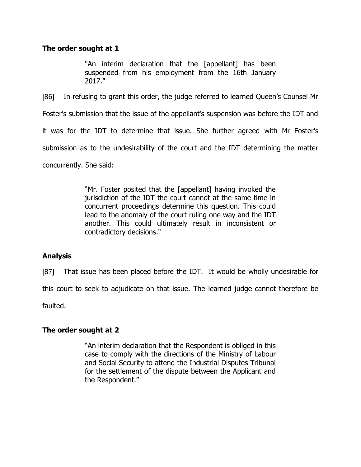## **The order sought at 1**

"An interim declaration that the [appellant] has been suspended from his employment from the 16th January 2017."

[86] In refusing to grant this order, the judge referred to learned Queen's Counsel Mr Foster's submission that the issue of the appellant's suspension was before the IDT and it was for the IDT to determine that issue. She further agreed with Mr Foster's submission as to the undesirability of the court and the IDT determining the matter concurrently. She said:

> "Mr. Foster posited that the [appellant] having invoked the jurisdiction of the IDT the court cannot at the same time in concurrent proceedings determine this question. This could lead to the anomaly of the court ruling one way and the IDT another. This could ultimately result in inconsistent or contradictory decisions."

# **Analysis**

[87] That issue has been placed before the IDT. It would be wholly undesirable for this court to seek to adjudicate on that issue. The learned judge cannot therefore be faulted.

# **The order sought at 2**

"An interim declaration that the Respondent is obliged in this case to comply with the directions of the Ministry of Labour and Social Security to attend the Industrial Disputes Tribunal for the settlement of the dispute between the Applicant and the Respondent."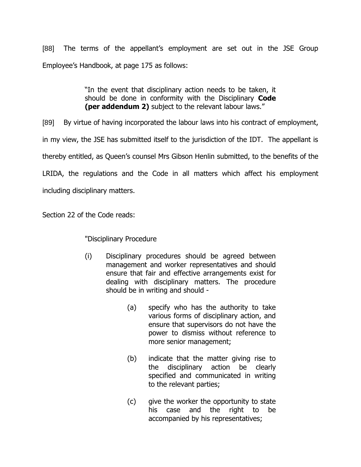[88] The terms of the appellant's employment are set out in the JSE Group Employee's Handbook, at page 175 as follows:

> "In the event that disciplinary action needs to be taken, it should be done in conformity with the Disciplinary **Code**  (per addendum 2) subject to the relevant labour laws."

[89] By virtue of having incorporated the labour laws into his contract of employment,

in my view, the JSE has submitted itself to the jurisdiction of the IDT. The appellant is

thereby entitled, as Queen's counsel Mrs Gibson Henlin submitted, to the benefits of the

LRIDA, the regulations and the Code in all matters which affect his employment

including disciplinary matters.

Section 22 of the Code reads:

"Disciplinary Procedure

- (i) Disciplinary procedures should be agreed between management and worker representatives and should ensure that fair and effective arrangements exist for dealing with disciplinary matters. The procedure should be in writing and should -
	- (a) specify who has the authority to take various forms of disciplinary action, and ensure that supervisors do not have the power to dismiss without reference to more senior management;
	- (b) indicate that the matter giving rise to the disciplinary action be clearly specified and communicated in writing to the relevant parties;
	- (c) give the worker the opportunity to state his case and the right to be accompanied by his representatives;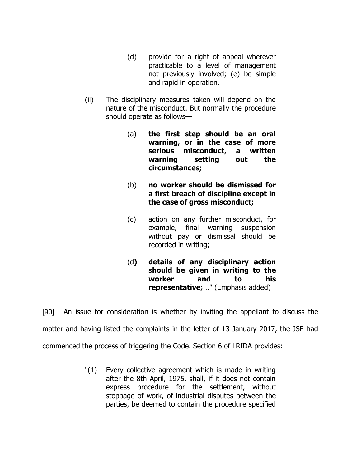- (d) provide for a right of appeal wherever practicable to a level of management not previously involved; (e) be simple and rapid in operation.
- (ii) The disciplinary measures taken will depend on the nature of the misconduct. But normally the procedure should operate as follows—
	- (a) **the first step should be an oral warning, or in the case of more serious misconduct, a written warning setting out the circumstances;**
	- (b) **no worker should be dismissed for a first breach of discipline except in the case of gross misconduct;**
	- (c) action on any further misconduct, for example, final warning suspension without pay or dismissal should be recorded in writing;
	- (d**) details of any disciplinary action should be given in writing to the worker and to his representative;**..." (Emphasis added)

[90] An issue for consideration is whether by inviting the appellant to discuss the matter and having listed the complaints in the letter of 13 January 2017, the JSE had commenced the process of triggering the Code. Section 6 of LRIDA provides:

> "(1) Every collective agreement which is made in writing after the 8th April, 1975, shall, if it does not contain express procedure for the settlement, without stoppage of work, of industrial disputes between the parties, be deemed to contain the procedure specified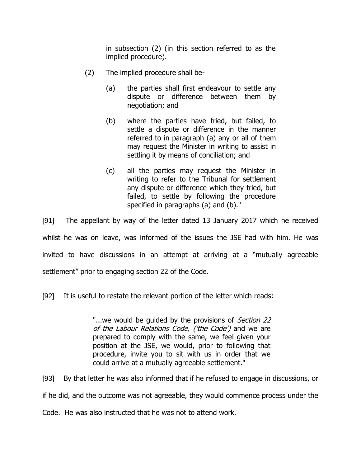in subsection (2) (in this section referred to as the implied procedure).

- (2) The implied procedure shall be-
	- (a) the parties shall first endeavour to settle any dispute or difference between them by negotiation; and
	- (b) where the parties have tried, but failed, to settle a dispute or difference in the manner referred to in paragraph (a) any or all of them may request the Minister in writing to assist in settling it by means of conciliation; and
	- (c) all the parties may request the Minister in writing to refer to the Tribunal for settlement any dispute or difference which they tried, but failed, to settle by following the procedure specified in paragraphs (a) and (b)."

[91] The appellant by way of the letter dated 13 January 2017 which he received whilst he was on leave, was informed of the issues the JSE had with him. He was invited to have discussions in an attempt at arriving at a "mutually agreeable settlement" prior to engaging section 22 of the Code.

[92] It is useful to restate the relevant portion of the letter which reads:

"...we would be guided by the provisions of Section 22 of the Labour Relations Code, ('the Code') and we are prepared to comply with the same, we feel given your position at the JSE, we would, prior to following that procedure, invite you to sit with us in order that we could arrive at a mutually agreeable settlement."

[93] By that letter he was also informed that if he refused to engage in discussions, or if he did, and the outcome was not agreeable, they would commence process under the Code. He was also instructed that he was not to attend work.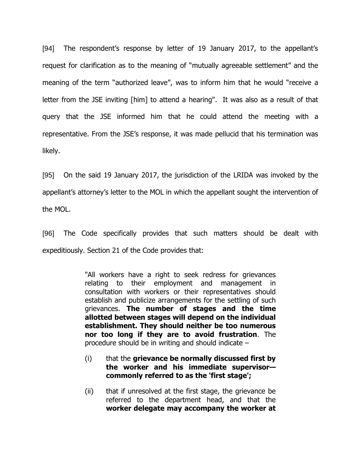[94] The respondent's response by letter of 19 January 2017, to the appellant's request for clarification as to the meaning of "mutually agreeable settlement" and the meaning of the term "authorized leave", was to inform him that he would "receive a letter from the JSE inviting [him] to attend a hearing". It was also as a result of that query that the JSE informed him that he could attend the meeting with a representative. From the JSE's response, it was made pellucid that his termination was likely.

[95] On the said 19 January 2017, the jurisdiction of the LRIDA was invoked by the appellant's attorney's letter to the MOL in which the appellant sought the intervention of the MOL.

[96] The Code specifically provides that such matters should be dealt with expeditiously. Section 21 of the Code provides that:

> "All workers have a right to seek redress for grievances relating to their employment and management in consultation with workers or their representatives should establish and publicize arrangements for the settling of such grievances. **The number of stages and the time allotted between stages will depend on the individual establishment. They should neither be too numerous nor too long if they are to avoid frustration**. The procedure should be in writing and should indicate –

## (i) that the **grievance be normally discussed first by the worker and his immediate supervisor commonly referred to as the 'first stage';**

(ii) that if unresolved at the first stage, the grievance be referred to the department head, and that the **worker delegate may accompany the worker at**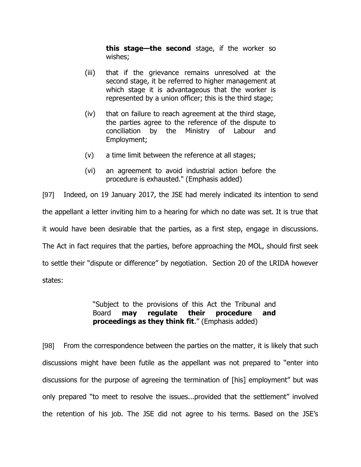**this stage—the second** stage, if the worker so wishes;

- (iii) that if the grievance remains unresolved at the second stage, it be referred to higher management at which stage it is advantageous that the worker is represented by a union officer; this is the third stage;
- (iv) that on failure to reach agreement at the third stage, the parties agree to the reference of the dispute to conciliation by the Ministry of Labour and Employment;
- (v) a time limit between the reference at all stages;
- (vi) an agreement to avoid industrial action before the procedure is exhausted." (Emphasis added)

[97] Indeed, on 19 January 2017, the JSE had merely indicated its intention to send the appellant a letter inviting him to a hearing for which no date was set. It is true that it would have been desirable that the parties, as a first step, engage in discussions. The Act in fact requires that the parties, before approaching the MOL, should first seek to settle their "dispute or difference" by negotiation. Section 20 of the LRIDA however states:

> ―Subject to the provisions of this Act the Tribunal and Board **may regulate their procedure and proceedings as they think fit.**" (Emphasis added)

[98] From the correspondence between the parties on the matter, it is likely that such discussions might have been futile as the appellant was not prepared to "enter into discussions for the purpose of agreeing the termination of [his] employment" but was only prepared "to meet to resolve the issues...provided that the settlement" involved the retention of his job. The JSE did not agree to his terms. Based on the JSE's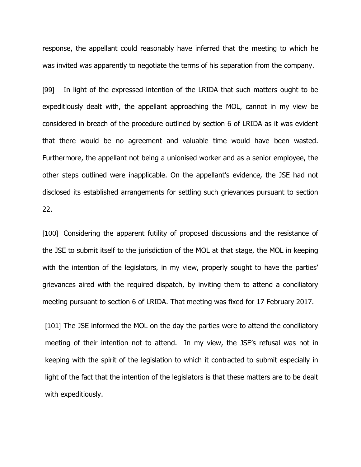response, the appellant could reasonably have inferred that the meeting to which he was invited was apparently to negotiate the terms of his separation from the company.

[99] In light of the expressed intention of the LRIDA that such matters ought to be expeditiously dealt with, the appellant approaching the MOL, cannot in my view be considered in breach of the procedure outlined by section 6 of LRIDA as it was evident that there would be no agreement and valuable time would have been wasted. Furthermore, the appellant not being a unionised worker and as a senior employee, the other steps outlined were inapplicable. On the appellant's evidence, the JSE had not disclosed its established arrangements for settling such grievances pursuant to section 22.

[100] Considering the apparent futility of proposed discussions and the resistance of the JSE to submit itself to the jurisdiction of the MOL at that stage, the MOL in keeping with the intention of the legislators, in my view, properly sought to have the parties' grievances aired with the required dispatch, by inviting them to attend a conciliatory meeting pursuant to section 6 of LRIDA. That meeting was fixed for 17 February 2017.

[101] The JSE informed the MOL on the day the parties were to attend the conciliatory meeting of their intention not to attend. In my view, the JSE's refusal was not in keeping with the spirit of the legislation to which it contracted to submit especially in light of the fact that the intention of the legislators is that these matters are to be dealt with expeditiously.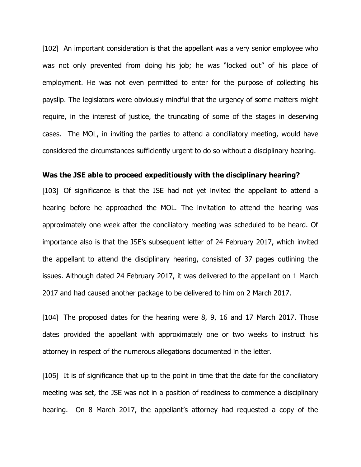[102] An important consideration is that the appellant was a very senior employee who was not only prevented from doing his job; he was "locked out" of his place of employment. He was not even permitted to enter for the purpose of collecting his payslip. The legislators were obviously mindful that the urgency of some matters might require, in the interest of justice, the truncating of some of the stages in deserving cases. The MOL, in inviting the parties to attend a conciliatory meeting, would have considered the circumstances sufficiently urgent to do so without a disciplinary hearing.

### **Was the JSE able to proceed expeditiously with the disciplinary hearing?**

[103] Of significance is that the JSE had not yet invited the appellant to attend a hearing before he approached the MOL. The invitation to attend the hearing was approximately one week after the conciliatory meeting was scheduled to be heard. Of importance also is that the JSE's subsequent letter of 24 February 2017, which invited the appellant to attend the disciplinary hearing, consisted of 37 pages outlining the issues. Although dated 24 February 2017, it was delivered to the appellant on 1 March 2017 and had caused another package to be delivered to him on 2 March 2017.

[104] The proposed dates for the hearing were 8, 9, 16 and 17 March 2017. Those dates provided the appellant with approximately one or two weeks to instruct his attorney in respect of the numerous allegations documented in the letter.

[105] It is of significance that up to the point in time that the date for the conciliatory meeting was set, the JSE was not in a position of readiness to commence a disciplinary hearing. On 8 March 2017, the appellant's attorney had requested a copy of the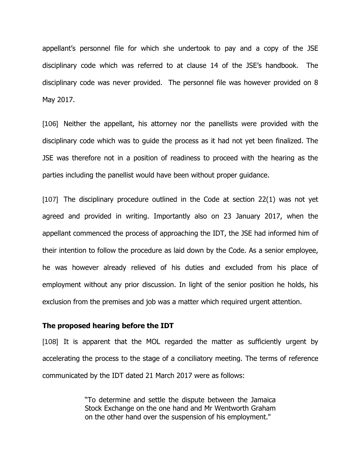appellant's personnel file for which she undertook to pay and a copy of the JSE disciplinary code which was referred to at clause 14 of the JSE's handbook. The disciplinary code was never provided. The personnel file was however provided on 8 May 2017.

[106] Neither the appellant, his attorney nor the panellists were provided with the disciplinary code which was to guide the process as it had not yet been finalized. The JSE was therefore not in a position of readiness to proceed with the hearing as the parties including the panellist would have been without proper guidance.

[107] The disciplinary procedure outlined in the Code at section 22(1) was not yet agreed and provided in writing. Importantly also on 23 January 2017, when the appellant commenced the process of approaching the IDT, the JSE had informed him of their intention to follow the procedure as laid down by the Code. As a senior employee, he was however already relieved of his duties and excluded from his place of employment without any prior discussion. In light of the senior position he holds, his exclusion from the premises and job was a matter which required urgent attention.

#### **The proposed hearing before the IDT**

[108] It is apparent that the MOL regarded the matter as sufficiently urgent by accelerating the process to the stage of a conciliatory meeting. The terms of reference communicated by the IDT dated 21 March 2017 were as follows:

> "To determine and settle the dispute between the Jamaica Stock Exchange on the one hand and Mr Wentworth Graham on the other hand over the suspension of his employment."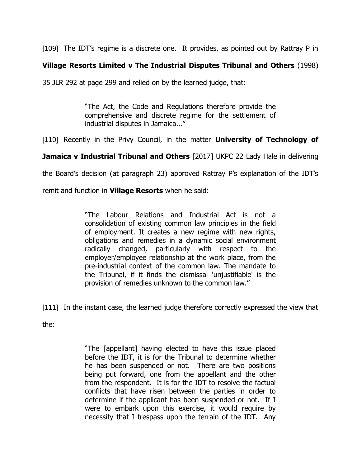[109] The IDT's regime is a discrete one. It provides, as pointed out by Rattray P in

## **Village Resorts Limited v The Industrial Disputes Tribunal and Others** (1998)

35 JLR 292 at page 299 and relied on by the learned judge, that:

―The Act, the Code and Regulations therefore provide the comprehensive and discrete regime for the settlement of industrial disputes in Jamaica..."

[110] Recently in the Privy Council, in the matter **University of Technology of** 

**Jamaica v Industrial Tribunal and Others** [2017] UKPC 22 Lady Hale in delivering

the Board's decision (at paragraph 23) approved Rattray P's explanation of the IDT's

remit and function in **Village Resorts** when he said:

―The Labour Relations and Industrial Act is not a consolidation of existing common law principles in the field of employment. It creates a new regime with new rights, obligations and remedies in a dynamic social environment radically changed, particularly with respect to the employer/employee relationship at the work place, from the pre-industrial context of the common law. The mandate to the Tribunal, if it finds the dismissal 'unjustifiable' is the provision of remedies unknown to the common law."

[111] In the instant case, the learned judge therefore correctly expressed the view that

the:

"The [appellant] having elected to have this issue placed before the IDT, it is for the Tribunal to determine whether he has been suspended or not. There are two positions being put forward, one from the appellant and the other from the respondent. It is for the IDT to resolve the factual conflicts that have risen between the parties in order to determine if the applicant has been suspended or not. If I were to embark upon this exercise, it would require by necessity that I trespass upon the terrain of the IDT. Any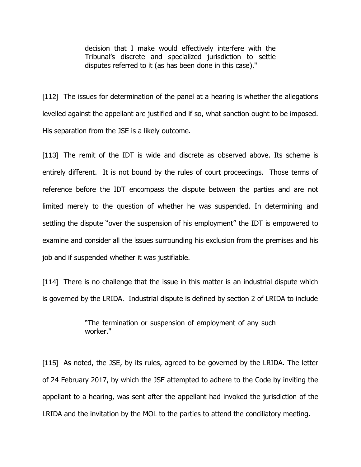decision that I make would effectively interfere with the Tribunal's discrete and specialized jurisdiction to settle disputes referred to it (as has been done in this case)."

[112] The issues for determination of the panel at a hearing is whether the allegations levelled against the appellant are justified and if so, what sanction ought to be imposed. His separation from the JSE is a likely outcome.

[113] The remit of the IDT is wide and discrete as observed above. Its scheme is entirely different. It is not bound by the rules of court proceedings. Those terms of reference before the IDT encompass the dispute between the parties and are not limited merely to the question of whether he was suspended. In determining and settling the dispute "over the suspension of his employment" the IDT is empowered to examine and consider all the issues surrounding his exclusion from the premises and his job and if suspended whether it was justifiable.

[114] There is no challenge that the issue in this matter is an industrial dispute which is governed by the LRIDA. Industrial dispute is defined by section 2 of LRIDA to include

> "The termination or suspension of employment of any such worker."

[115] As noted, the JSE, by its rules, agreed to be governed by the LRIDA. The letter of 24 February 2017, by which the JSE attempted to adhere to the Code by inviting the appellant to a hearing, was sent after the appellant had invoked the jurisdiction of the LRIDA and the invitation by the MOL to the parties to attend the conciliatory meeting.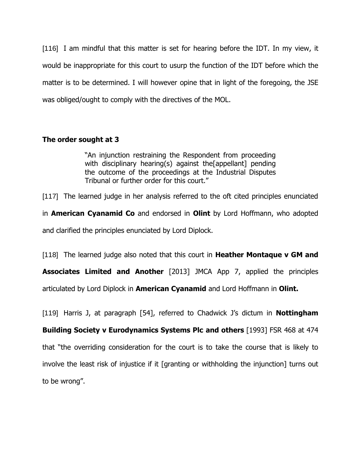[116] I am mindful that this matter is set for hearing before the IDT. In my view, it would be inappropriate for this court to usurp the function of the IDT before which the matter is to be determined. I will however opine that in light of the foregoing, the JSE was obliged/ought to comply with the directives of the MOL.

## **The order sought at 3**

"An injunction restraining the Respondent from proceeding with disciplinary hearing(s) against the[appellant] pending the outcome of the proceedings at the Industrial Disputes Tribunal or further order for this court."

[117] The learned judge in her analysis referred to the oft cited principles enunciated in **American Cyanamid Co** and endorsed in **Olint** by Lord Hoffmann, who adopted and clarified the principles enunciated by Lord Diplock.

[118] The learned judge also noted that this court in **Heather Montaque v GM and Associates Limited and Another** [2013] JMCA App 7, applied the principles articulated by Lord Diplock in **American Cyanamid** and Lord Hoffmann in **Olint.** 

[119] Harris J, at paragraph [54], referred to Chadwick J's dictum in **Nottingham Building Society v Eurodynamics Systems Plc and others** [1993] FSR 468 at 474 that "the overriding consideration for the court is to take the course that is likely to involve the least risk of injustice if it [granting or withholding the injunction] turns out to be wrong".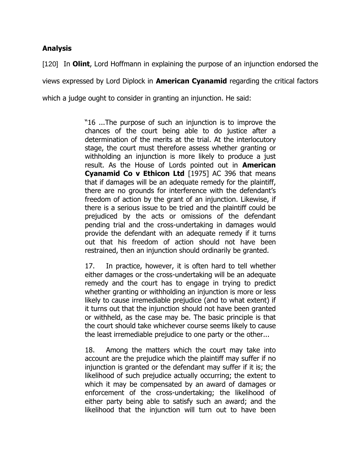# **Analysis**

[120] In **Olint**, Lord Hoffmann in explaining the purpose of an injunction endorsed the views expressed by Lord Diplock in **American Cyanamid** regarding the critical factors which a judge ought to consider in granting an injunction. He said:

> ―16 ...The purpose of such an injunction is to improve the chances of the court being able to do justice after a determination of the merits at the trial. At the interlocutory stage, the court must therefore assess whether granting or withholding an injunction is more likely to produce a just result. As the House of Lords pointed out in **American Cyanamid Co v Ethicon Ltd** [1975] AC 396 that means that if damages will be an adequate remedy for the plaintiff, there are no grounds for interference with the defendant's freedom of action by the grant of an injunction. Likewise, if there is a serious issue to be tried and the plaintiff could be prejudiced by the acts or omissions of the defendant pending trial and the cross-undertaking in damages would provide the defendant with an adequate remedy if it turns out that his freedom of action should not have been restrained, then an injunction should ordinarily be granted.

> 17. In practice, however, it is often hard to tell whether either damages or the cross-undertaking will be an adequate remedy and the court has to engage in trying to predict whether granting or withholding an injunction is more or less likely to cause irremediable prejudice (and to what extent) if it turns out that the injunction should not have been granted or withheld, as the case may be. The basic principle is that the court should take whichever course seems likely to cause the least irremediable prejudice to one party or the other...

> 18. Among the matters which the court may take into account are the prejudice which the plaintiff may suffer if no injunction is granted or the defendant may suffer if it is; the likelihood of such prejudice actually occurring; the extent to which it may be compensated by an award of damages or enforcement of the cross-undertaking; the likelihood of either party being able to satisfy such an award; and the likelihood that the injunction will turn out to have been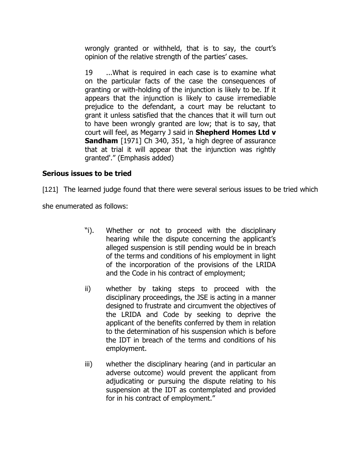wrongly granted or withheld, that is to say, the court's opinion of the relative strength of the parties' cases.

19 ...What is required in each case is to examine what on the particular facts of the case the consequences of granting or with-holding of the injunction is likely to be. If it appears that the injunction is likely to cause irremediable prejudice to the defendant, a court may be reluctant to grant it unless satisfied that the chances that it will turn out to have been wrongly granted are low; that is to say, that court will feel, as Megarry J said in **Shepherd Homes Ltd v Sandham** [1971] Ch 340, 351, 'a high degree of assurance that at trial it will appear that the injunction was rightly granted'.‖ (Emphasis added)

## **Serious issues to be tried**

[121] The learned judge found that there were several serious issues to be tried which

she enumerated as follows:

- "i). Whether or not to proceed with the disciplinary hearing while the dispute concerning the applicant's alleged suspension is still pending would be in breach of the terms and conditions of his employment in light of the incorporation of the provisions of the LRIDA and the Code in his contract of employment;
- ii) whether by taking steps to proceed with the disciplinary proceedings, the JSE is acting in a manner designed to frustrate and circumvent the objectives of the LRIDA and Code by seeking to deprive the applicant of the benefits conferred by them in relation to the determination of his suspension which is before the IDT in breach of the terms and conditions of his employment.
- iii) whether the disciplinary hearing (and in particular an adverse outcome) would prevent the applicant from adjudicating or pursuing the dispute relating to his suspension at the IDT as contemplated and provided for in his contract of employment."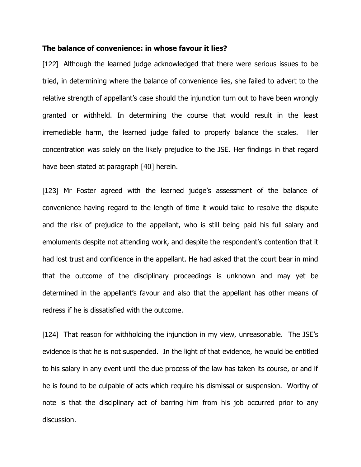#### **The balance of convenience: in whose favour it lies?**

[122] Although the learned judge acknowledged that there were serious issues to be tried, in determining where the balance of convenience lies, she failed to advert to the relative strength of appellant's case should the injunction turn out to have been wrongly granted or withheld. In determining the course that would result in the least irremediable harm, the learned judge failed to properly balance the scales. Her concentration was solely on the likely prejudice to the JSE. Her findings in that regard have been stated at paragraph [40] herein.

[123] Mr Foster agreed with the learned judge's assessment of the balance of convenience having regard to the length of time it would take to resolve the dispute and the risk of prejudice to the appellant, who is still being paid his full salary and emoluments despite not attending work, and despite the respondent's contention that it had lost trust and confidence in the appellant. He had asked that the court bear in mind that the outcome of the disciplinary proceedings is unknown and may yet be determined in the appellant's favour and also that the appellant has other means of redress if he is dissatisfied with the outcome.

[124] That reason for withholding the injunction in my view, unreasonable. The JSE's evidence is that he is not suspended. In the light of that evidence, he would be entitled to his salary in any event until the due process of the law has taken its course, or and if he is found to be culpable of acts which require his dismissal or suspension. Worthy of note is that the disciplinary act of barring him from his job occurred prior to any discussion.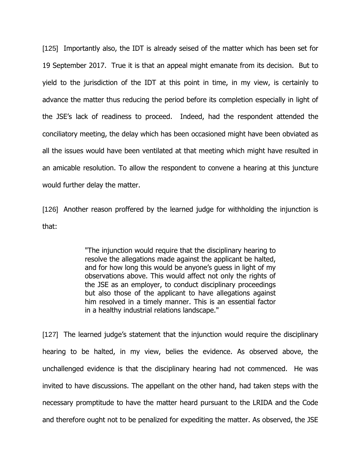[125] Importantly also, the IDT is already seised of the matter which has been set for 19 September 2017. True it is that an appeal might emanate from its decision. But to yield to the jurisdiction of the IDT at this point in time, in my view, is certainly to advance the matter thus reducing the period before its completion especially in light of the JSE's lack of readiness to proceed. Indeed, had the respondent attended the conciliatory meeting, the delay which has been occasioned might have been obviated as all the issues would have been ventilated at that meeting which might have resulted in an amicable resolution. To allow the respondent to convene a hearing at this juncture would further delay the matter.

[126] Another reason proffered by the learned judge for withholding the injunction is that:

> "The injunction would require that the disciplinary hearing to resolve the allegations made against the applicant be halted, and for how long this would be anyone's guess in light of my observations above. This would affect not only the rights of the JSE as an employer, to conduct disciplinary proceedings but also those of the applicant to have allegations against him resolved in a timely manner. This is an essential factor in a healthy industrial relations landscape."

[127] The learned judge's statement that the injunction would require the disciplinary hearing to be halted, in my view, belies the evidence. As observed above, the unchallenged evidence is that the disciplinary hearing had not commenced. He was invited to have discussions. The appellant on the other hand, had taken steps with the necessary promptitude to have the matter heard pursuant to the LRIDA and the Code and therefore ought not to be penalized for expediting the matter. As observed, the JSE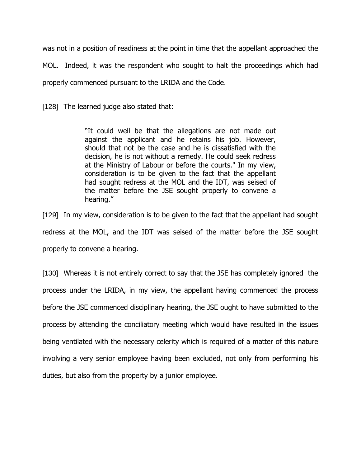was not in a position of readiness at the point in time that the appellant approached the MOL. Indeed, it was the respondent who sought to halt the proceedings which had

properly commenced pursuant to the LRIDA and the Code.

[128] The learned judge also stated that:

"It could well be that the allegations are not made out against the applicant and he retains his job. However, should that not be the case and he is dissatisfied with the decision, he is not without a remedy. He could seek redress at the Ministry of Labour or before the courts." In my view, consideration is to be given to the fact that the appellant had sought redress at the MOL and the IDT, was seised of the matter before the JSE sought properly to convene a hearing."

[129] In my view, consideration is to be given to the fact that the appellant had sought redress at the MOL, and the IDT was seised of the matter before the JSE sought properly to convene a hearing.

[130] Whereas it is not entirely correct to say that the JSE has completely ignored the process under the LRIDA, in my view, the appellant having commenced the process before the JSE commenced disciplinary hearing, the JSE ought to have submitted to the process by attending the conciliatory meeting which would have resulted in the issues being ventilated with the necessary celerity which is required of a matter of this nature involving a very senior employee having been excluded, not only from performing his duties, but also from the property by a junior employee.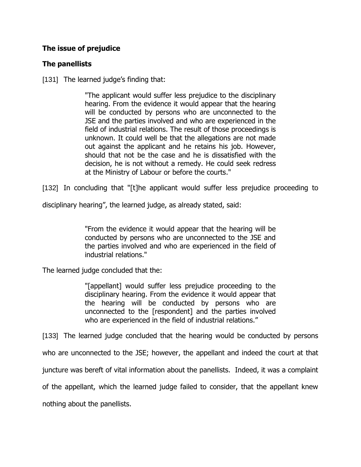# **The issue of prejudice**

## **The panellists**

[131] The learned judge's finding that:

"The applicant would suffer less prejudice to the disciplinary hearing. From the evidence it would appear that the hearing will be conducted by persons who are unconnected to the JSE and the parties involved and who are experienced in the field of industrial relations. The result of those proceedings is unknown. It could well be that the allegations are not made out against the applicant and he retains his job. However, should that not be the case and he is dissatisfied with the decision, he is not without a remedy. He could seek redress at the Ministry of Labour or before the courts."

[132] In concluding that "[t]he applicant would suffer less prejudice proceeding to

disciplinary hearing", the learned judge, as already stated, said:

"From the evidence it would appear that the hearing will be conducted by persons who are unconnected to the JSE and the parties involved and who are experienced in the field of industrial relations."

The learned judge concluded that the:

"[appellant] would suffer less prejudice proceeding to the disciplinary hearing. From the evidence it would appear that the hearing will be conducted by persons who are unconnected to the [respondent] and the parties involved who are experienced in the field of industrial relations."

[133] The learned judge concluded that the hearing would be conducted by persons

who are unconnected to the JSE; however, the appellant and indeed the court at that

juncture was bereft of vital information about the panellists. Indeed, it was a complaint

of the appellant, which the learned judge failed to consider, that the appellant knew

nothing about the panellists.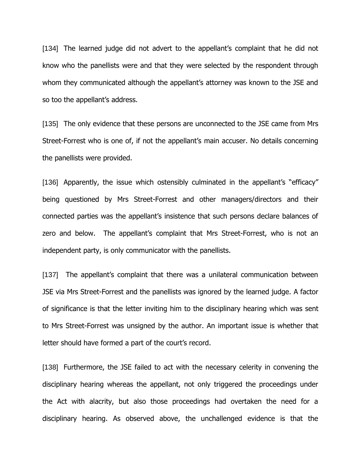[134] The learned judge did not advert to the appellant's complaint that he did not know who the panellists were and that they were selected by the respondent through whom they communicated although the appellant's attorney was known to the JSE and so too the appellant's address.

[135] The only evidence that these persons are unconnected to the JSE came from Mrs Street-Forrest who is one of, if not the appellant's main accuser. No details concerning the panellists were provided.

[136] Apparently, the issue which ostensibly culminated in the appellant's "efficacy" being questioned by Mrs Street-Forrest and other managers/directors and their connected parties was the appellant's insistence that such persons declare balances of zero and below. The appellant's complaint that Mrs Street-Forrest, who is not an independent party, is only communicator with the panellists.

[137] The appellant's complaint that there was a unilateral communication between JSE via Mrs Street-Forrest and the panellists was ignored by the learned judge. A factor of significance is that the letter inviting him to the disciplinary hearing which was sent to Mrs Street-Forrest was unsigned by the author. An important issue is whether that letter should have formed a part of the court's record.

[138] Furthermore, the JSE failed to act with the necessary celerity in convening the disciplinary hearing whereas the appellant, not only triggered the proceedings under the Act with alacrity, but also those proceedings had overtaken the need for a disciplinary hearing. As observed above, the unchallenged evidence is that the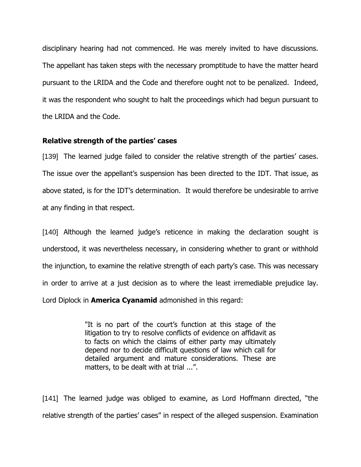disciplinary hearing had not commenced. He was merely invited to have discussions. The appellant has taken steps with the necessary promptitude to have the matter heard pursuant to the LRIDA and the Code and therefore ought not to be penalized. Indeed, it was the respondent who sought to halt the proceedings which had begun pursuant to the LRIDA and the Code.

### **Relative strength of the parties' cases**

[139] The learned judge failed to consider the relative strength of the parties' cases. The issue over the appellant's suspension has been directed to the IDT. That issue, as above stated, is for the IDT's determination. It would therefore be undesirable to arrive at any finding in that respect.

[140] Although the learned judge's reticence in making the declaration sought is understood, it was nevertheless necessary, in considering whether to grant or withhold the injunction, to examine the relative strength of each party's case. This was necessary in order to arrive at a just decision as to where the least irremediable prejudice lay. Lord Diplock in **America Cyanamid** admonished in this regard:

> "It is no part of the court's function at this stage of the litigation to try to resolve conflicts of evidence on affidavit as to facts on which the claims of either party may ultimately depend nor to decide difficult questions of law which call for detailed argument and mature considerations. These are matters, to be dealt with at trial ...".

[141] The learned judge was obliged to examine, as Lord Hoffmann directed, "the relative strength of the parties' cases" in respect of the alleged suspension. Examination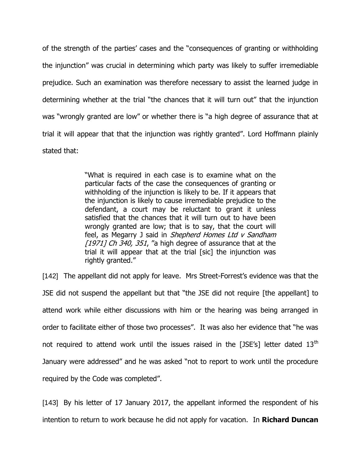of the strength of the parties' cases and the "consequences of granting or withholding the injunction" was crucial in determining which party was likely to suffer irremediable prejudice. Such an examination was therefore necessary to assist the learned judge in determining whether at the trial "the chances that it will turn out" that the injunction was "wrongly granted are low" or whether there is "a high degree of assurance that at trial it will appear that that the injunction was rightly granted". Lord Hoffmann plainly stated that:

> "What is required in each case is to examine what on the particular facts of the case the consequences of granting or withholding of the injunction is likely to be. If it appears that the injunction is likely to cause irremediable prejudice to the defendant, a court may be reluctant to grant it unless satisfied that the chances that it will turn out to have been wrongly granted are low; that is to say, that the court will feel, as Megarry J said in Shepherd Homes Ltd v Sandham  $[1971]$  Ch 340, 351, "a high degree of assurance that at the trial it will appear that at the trial [sic] the injunction was rightly granted."

[142] The appellant did not apply for leave. Mrs Street-Forrest's evidence was that the JSE did not suspend the appellant but that "the JSE did not require [the appellant] to attend work while either discussions with him or the hearing was being arranged in order to facilitate either of those two processes". It was also her evidence that "he was not required to attend work until the issues raised in the [JSE's] letter dated 13<sup>th</sup> January were addressed" and he was asked "not to report to work until the procedure required by the Code was completed".

[143] By his letter of 17 January 2017, the appellant informed the respondent of his intention to return to work because he did not apply for vacation. In **Richard Duncan**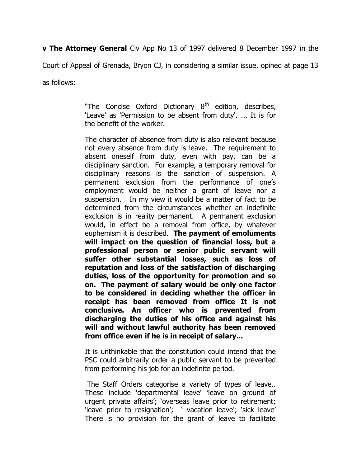**v The Attorney General** Civ App No 13 of 1997 delivered 8 December 1997 in the

Court of Appeal of Grenada, Bryon CJ, in considering a similar issue, opined at page 13

as follows:

"The Concise Oxford Dictionary  $8<sup>th</sup>$  edition, describes, 'Leave' as 'Permission to be absent from duty'. ... It is for the benefit of the worker.

The character of absence from duty is also relevant because not every absence from duty is leave. The requirement to absent oneself from duty, even with pay, can be a disciplinary sanction. For example, a temporary removal for disciplinary reasons is the sanction of suspension. A permanent exclusion from the performance of one's employment would be neither a grant of leave nor a suspension. In my view it would be a matter of fact to be determined from the circumstances whether an indefinite exclusion is in reality permanent. A permanent exclusion would, in effect be a removal from office, by whatever euphemism it is described. **The payment of emoluments will impact on the question of financial loss, but a professional person or senior public servant will suffer other substantial losses, such as loss of reputation and loss of the satisfaction of discharging duties, loss of the opportunity for promotion and so on. The payment of salary would be only one factor to be considered in deciding whether the officer in receipt has been removed from office It is not conclusive. An officer who is prevented from discharging the duties of his office and against his will and without lawful authority has been removed from office even if he is in receipt of salary...**

It is unthinkable that the constitution could intend that the PSC could arbitrarily order a public servant to be prevented from performing his job for an indefinite period.

The Staff Orders categorise a variety of types of leave.. These include 'departmental leave' 'leave on ground of urgent private affairs'; 'overseas leave prior to retirement; 'leave prior to resignation'; ' vacation leave'; 'sick leave' There is no provision for the grant of leave to facilitate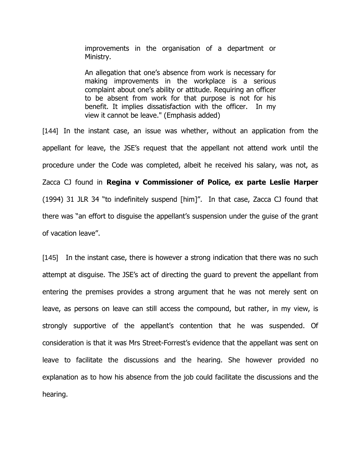improvements in the organisation of a department or Ministry.

An allegation that one's absence from work is necessary for making improvements in the workplace is a serious complaint about one's ability or attitude. Requiring an officer to be absent from work for that purpose is not for his benefit. It implies dissatisfaction with the officer. In my view it cannot be leave." (Emphasis added)

[144] In the instant case, an issue was whether, without an application from the appellant for leave, the JSE's request that the appellant not attend work until the procedure under the Code was completed, albeit he received his salary, was not, as Zacca CJ found in **Regina v Commissioner of Police, ex parte Leslie Harper** (1994) 31 JLR 34 "to indefinitely suspend  $[\text{him}]$ ". In that case, Zacca CJ found that there was "an effort to disguise the appellant's suspension under the guise of the grant of vacation leave".

[145] In the instant case, there is however a strong indication that there was no such attempt at disguise. The JSE's act of directing the guard to prevent the appellant from entering the premises provides a strong argument that he was not merely sent on leave, as persons on leave can still access the compound, but rather, in my view, is strongly supportive of the appellant's contention that he was suspended. Of consideration is that it was Mrs Street-Forrest's evidence that the appellant was sent on leave to facilitate the discussions and the hearing. She however provided no explanation as to how his absence from the job could facilitate the discussions and the hearing.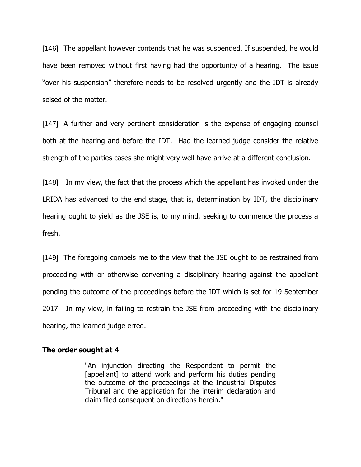[146] The appellant however contends that he was suspended. If suspended, he would have been removed without first having had the opportunity of a hearing. The issue "over his suspension" therefore needs to be resolved urgently and the IDT is already seised of the matter.

[147] A further and very pertinent consideration is the expense of engaging counsel both at the hearing and before the IDT. Had the learned judge consider the relative strength of the parties cases she might very well have arrive at a different conclusion.

[148] In my view, the fact that the process which the appellant has invoked under the LRIDA has advanced to the end stage, that is, determination by IDT, the disciplinary hearing ought to yield as the JSE is, to my mind, seeking to commence the process a fresh.

[149] The foregoing compels me to the view that the JSE ought to be restrained from proceeding with or otherwise convening a disciplinary hearing against the appellant pending the outcome of the proceedings before the IDT which is set for 19 September 2017. In my view, in failing to restrain the JSE from proceeding with the disciplinary hearing, the learned judge erred.

#### **The order sought at 4**

"An injunction directing the Respondent to permit the [appellant] to attend work and perform his duties pending the outcome of the proceedings at the Industrial Disputes Tribunal and the application for the interim declaration and claim filed consequent on directions herein."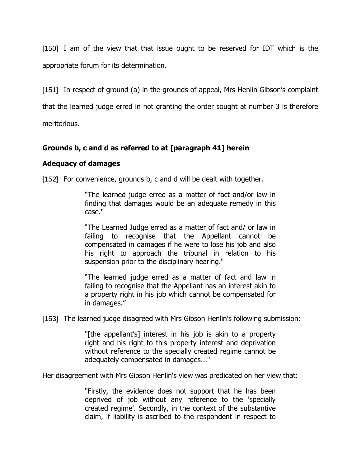[150] I am of the view that that issue ought to be reserved for IDT which is the appropriate forum for its determination.

[151] In respect of ground (a) in the grounds of appeal, Mrs Henlin Gibson's complaint that the learned judge erred in not granting the order sought at number 3 is therefore meritorious.

# **Grounds b, c and d as referred to at [paragraph 41] herein**

## **Adequacy of damages**

[152] For convenience, grounds b, c and d will be dealt with together.

"The learned judge erred as a matter of fact and/or law in finding that damages would be an adequate remedy in this case."

"The Learned Judge erred as a matter of fact and/ or law in failing to recognise that the Appellant cannot be compensated in damages if he were to lose his job and also his right to approach the tribunal in relation to his suspension prior to the disciplinary hearing."

"The learned judge erred as a matter of fact and law in failing to recognise that the Appellant has an interest akin to a property right in his job which cannot be compensated for in damages."

[153] The learned judge disagreed with Mrs Gibson Henlin's following submission:

"[the appellant's] interest in his job is akin to a property right and his right to this property interest and deprivation without reference to the specially created regime cannot be adequately compensated in damages..."

Her disagreement with Mrs Gibson Henlin's view was predicated on her view that:

"Firstly, the evidence does not support that he has been deprived of job without any reference to the 'specially created regime'. Secondly, in the context of the substantive claim, if liability is ascribed to the respondent in respect to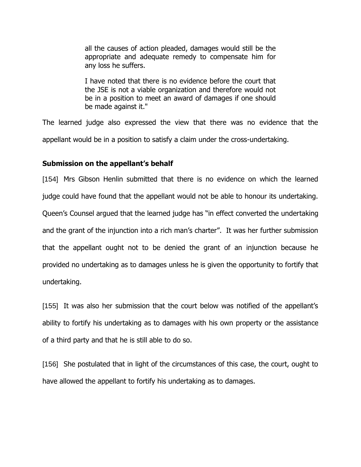all the causes of action pleaded, damages would still be the appropriate and adequate remedy to compensate him for any loss he suffers.

I have noted that there is no evidence before the court that the JSE is not a viable organization and therefore would not be in a position to meet an award of damages if one should be made against it."

The learned judge also expressed the view that there was no evidence that the appellant would be in a position to satisfy a claim under the cross-undertaking.

## **Submission on the appellant's behalf**

[154] Mrs Gibson Henlin submitted that there is no evidence on which the learned judge could have found that the appellant would not be able to honour its undertaking. Queen's Counsel argued that the learned judge has "in effect converted the undertaking and the grant of the injunction into a rich man's charter". It was her further submission that the appellant ought not to be denied the grant of an injunction because he provided no undertaking as to damages unless he is given the opportunity to fortify that undertaking.

[155] It was also her submission that the court below was notified of the appellant's ability to fortify his undertaking as to damages with his own property or the assistance of a third party and that he is still able to do so.

[156] She postulated that in light of the circumstances of this case, the court, ought to have allowed the appellant to fortify his undertaking as to damages.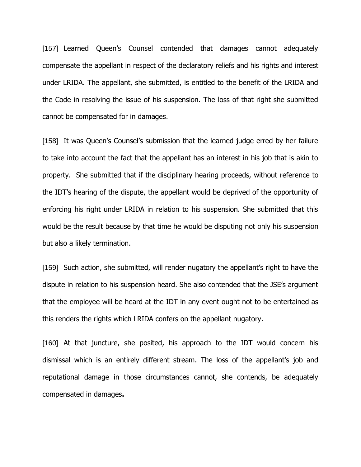[157] Learned Queen's Counsel contended that damages cannot adequately compensate the appellant in respect of the declaratory reliefs and his rights and interest under LRIDA. The appellant, she submitted, is entitled to the benefit of the LRIDA and the Code in resolving the issue of his suspension. The loss of that right she submitted cannot be compensated for in damages.

[158] It was Queen's Counsel's submission that the learned judge erred by her failure to take into account the fact that the appellant has an interest in his job that is akin to property. She submitted that if the disciplinary hearing proceeds, without reference to the IDT's hearing of the dispute, the appellant would be deprived of the opportunity of enforcing his right under LRIDA in relation to his suspension. She submitted that this would be the result because by that time he would be disputing not only his suspension but also a likely termination.

[159] Such action, she submitted, will render nugatory the appellant's right to have the dispute in relation to his suspension heard. She also contended that the JSE's argument that the employee will be heard at the IDT in any event ought not to be entertained as this renders the rights which LRIDA confers on the appellant nugatory.

[160] At that juncture, she posited, his approach to the IDT would concern his dismissal which is an entirely different stream. The loss of the appellant's job and reputational damage in those circumstances cannot, she contends, be adequately compensated in damages**.**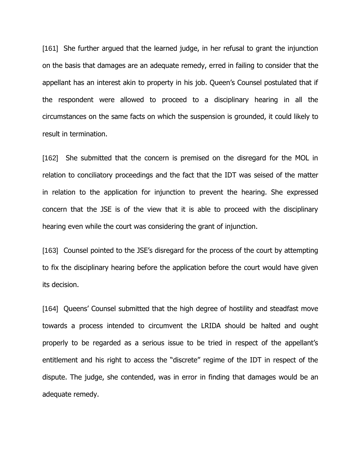[161] She further argued that the learned judge, in her refusal to grant the injunction on the basis that damages are an adequate remedy, erred in failing to consider that the appellant has an interest akin to property in his job. Queen's Counsel postulated that if the respondent were allowed to proceed to a disciplinary hearing in all the circumstances on the same facts on which the suspension is grounded, it could likely to result in termination.

[162] She submitted that the concern is premised on the disregard for the MOL in relation to conciliatory proceedings and the fact that the IDT was seised of the matter in relation to the application for injunction to prevent the hearing. She expressed concern that the JSE is of the view that it is able to proceed with the disciplinary hearing even while the court was considering the grant of injunction.

[163] Counsel pointed to the JSE's disregard for the process of the court by attempting to fix the disciplinary hearing before the application before the court would have given its decision.

[164] Queens' Counsel submitted that the high degree of hostility and steadfast move towards a process intended to circumvent the LRIDA should be halted and ought properly to be regarded as a serious issue to be tried in respect of the appellant's entitlement and his right to access the "discrete" regime of the IDT in respect of the dispute. The judge, she contended, was in error in finding that damages would be an adequate remedy.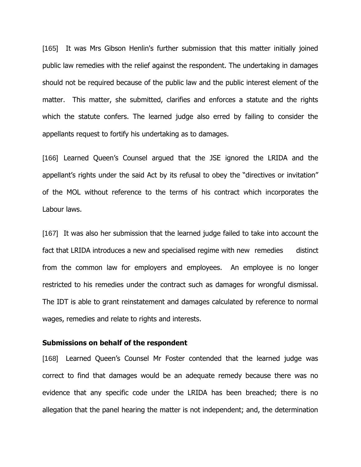[165] It was Mrs Gibson Henlin's further submission that this matter initially joined public law remedies with the relief against the respondent. The undertaking in damages should not be required because of the public law and the public interest element of the matter. This matter, she submitted, clarifies and enforces a statute and the rights which the statute confers. The learned judge also erred by failing to consider the appellants request to fortify his undertaking as to damages.

[166] Learned Queen's Counsel argued that the JSE ignored the LRIDA and the appellant's rights under the said Act by its refusal to obey the "directives or invitation" of the MOL without reference to the terms of his contract which incorporates the Labour laws.

[167] It was also her submission that the learned judge failed to take into account the fact that LRIDA introduces a new and specialised regime with new remedies distinct from the common law for employers and employees. An employee is no longer restricted to his remedies under the contract such as damages for wrongful dismissal. The IDT is able to grant reinstatement and damages calculated by reference to normal wages, remedies and relate to rights and interests.

#### **Submissions on behalf of the respondent**

[168] Learned Queen's Counsel Mr Foster contended that the learned judge was correct to find that damages would be an adequate remedy because there was no evidence that any specific code under the LRIDA has been breached; there is no allegation that the panel hearing the matter is not independent; and, the determination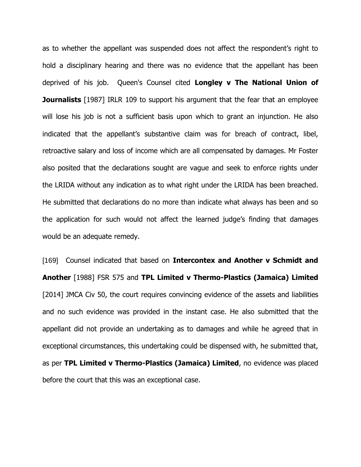as to whether the appellant was suspended does not affect the respondent's right to hold a disciplinary hearing and there was no evidence that the appellant has been deprived of his job. Queen's Counsel cited **Longley v The National Union of Journalists** [1987] IRLR 109 to support his argument that the fear that an employee will lose his job is not a sufficient basis upon which to grant an injunction. He also indicated that the appellant's substantive claim was for breach of contract, libel, retroactive salary and loss of income which are all compensated by damages. Mr Foster also posited that the declarations sought are vague and seek to enforce rights under the LRIDA without any indication as to what right under the LRIDA has been breached. He submitted that declarations do no more than indicate what always has been and so the application for such would not affect the learned judge's finding that damages would be an adequate remedy.

[169] Counsel indicated that based on **Intercontex and Another v Schmidt and Another** [1988] FSR 575 and **TPL Limited v Thermo-Plastics (Jamaica) Limited**  [2014] JMCA Civ 50, the court requires convincing evidence of the assets and liabilities and no such evidence was provided in the instant case. He also submitted that the appellant did not provide an undertaking as to damages and while he agreed that in exceptional circumstances, this undertaking could be dispensed with, he submitted that, as per **TPL Limited v Thermo-Plastics (Jamaica) Limited**, no evidence was placed before the court that this was an exceptional case.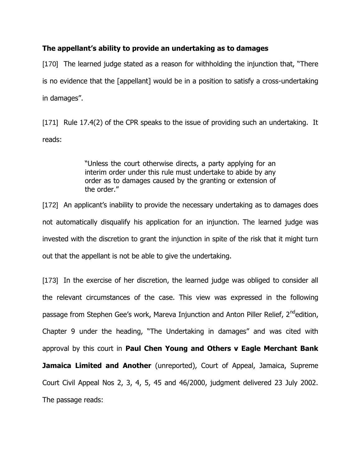### **The appellant's ability to provide an undertaking as to damages**

[170] The learned judge stated as a reason for withholding the injunction that, "There is no evidence that the [appellant] would be in a position to satisfy a cross-undertaking in damages".

[171] Rule 17.4(2) of the CPR speaks to the issue of providing such an undertaking. It reads:

> "Unless the court otherwise directs, a party applying for an interim order under this rule must undertake to abide by any order as to damages caused by the granting or extension of the order."

[172] An applicant's inability to provide the necessary undertaking as to damages does not automatically disqualify his application for an injunction. The learned judge was invested with the discretion to grant the injunction in spite of the risk that it might turn out that the appellant is not be able to give the undertaking.

[173] In the exercise of her discretion, the learned judge was obliged to consider all the relevant circumstances of the case. This view was expressed in the following passage from Stephen Gee's work, Mareva Injunction and Anton Piller Relief, 2<sup>nd</sup>edition, Chapter 9 under the heading, "The Undertaking in damages" and was cited with approval by this court in **Paul Chen Young and Others v Eagle Merchant Bank Jamaica Limited and Another** (unreported), Court of Appeal, Jamaica, Supreme Court Civil Appeal Nos 2, 3, 4, 5, 45 and 46/2000, judgment delivered 23 July 2002. The passage reads: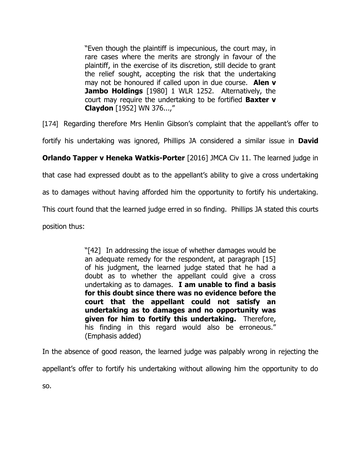―Even though the plaintiff is impecunious, the court may, in rare cases where the merits are strongly in favour of the plaintiff, in the exercise of its discretion, still decide to grant the relief sought, accepting the risk that the undertaking may not be honoured if called upon in due course. **Alen v Jambo Holdings** [1980] 1 WLR 1252. Alternatively, the court may require the undertaking to be fortified **Baxter v Claydon** [1952] WN 376...,"

[174] Regarding therefore Mrs Henlin Gibson's complaint that the appellant's offer to

fortify his undertaking was ignored, Phillips JA considered a similar issue in **David** 

**Orlando Tapper v Heneka Watkis-Porter** [2016] JMCA Civ 11. The learned judge in

that case had expressed doubt as to the appellant's ability to give a cross undertaking

as to damages without having afforded him the opportunity to fortify his undertaking.

This court found that the learned judge erred in so finding. Phillips JA stated this courts

position thus:

―[42] In addressing the issue of whether damages would be an adequate remedy for the respondent, at paragraph [15] of his judgment, the learned judge stated that he had a doubt as to whether the appellant could give a cross undertaking as to damages. **I am unable to find a basis for this doubt since there was no evidence before the court that the appellant could not satisfy an undertaking as to damages and no opportunity was given for him to fortify this undertaking.** Therefore, his finding in this regard would also be erroneous." (Emphasis added)

In the absence of good reason, the learned judge was palpably wrong in rejecting the appellant's offer to fortify his undertaking without allowing him the opportunity to do so.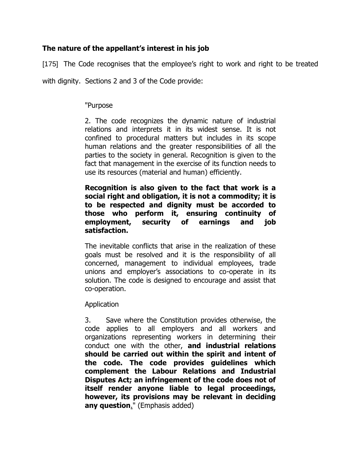# **The nature of the appellant's interest in his job**

[175] The Code recognises that the employee's right to work and right to be treated

with dignity. Sections 2 and 3 of the Code provide:

## "Purpose

2. The code recognizes the dynamic nature of industrial relations and interprets it in its widest sense. It is not confined to procedural matters but includes in its scope human relations and the greater responsibilities of all the parties to the society in general. Recognition is given to the fact that management in the exercise of its function needs to use its resources (material and human) efficiently.

**Recognition is also given to the fact that work is a social right and obligation, it is not a commodity; it is to be respected and dignity must be accorded to those who perform it, ensuring continuity of employment, security of earnings and job satisfaction.** 

The inevitable conflicts that arise in the realization of these goals must be resolved and it is the responsibility of all concerned, management to individual employees, trade unions and employer's associations to co-operate in its solution. The code is designed to encourage and assist that co-operation.

### Application

3. Save where the Constitution provides otherwise, the code applies to all employers and all workers and organizations representing workers in determining their conduct one with the other, **and industrial relations should be carried out within the spirit and intent of the code. The code provides guidelines which complement the Labour Relations and Industrial Disputes Act; an infringement of the code does not of itself render anyone liable to legal proceedings, however, its provisions may be relevant in deciding any question**." (Emphasis added)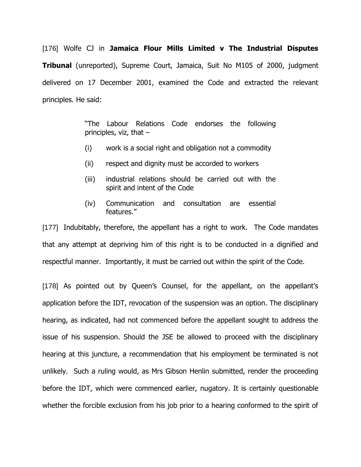[176] Wolfe CJ in **Jamaica Flour Mills Limited v The Industrial Disputes Tribunal** (unreported), Supreme Court, Jamaica, Suit No M105 of 2000, judgment delivered on 17 December 2001, examined the Code and extracted the relevant principles. He said:

> "The Labour Relations Code endorses the following principles, viz, that  $-$

- (i) work is a social right and obligation not a commodity
- (ii) respect and dignity must be accorded to workers
- (iii) industrial relations should be carried out with the spirit and intent of the Code
- (iv) Communication and consultation are essential features."

[177] Indubitably, therefore, the appellant has a right to work. The Code mandates that any attempt at depriving him of this right is to be conducted in a dignified and respectful manner. Importantly, it must be carried out within the spirit of the Code.

[178] As pointed out by Queen's Counsel, for the appellant, on the appellant's application before the IDT, revocation of the suspension was an option. The disciplinary hearing, as indicated, had not commenced before the appellant sought to address the issue of his suspension. Should the JSE be allowed to proceed with the disciplinary hearing at this juncture, a recommendation that his employment be terminated is not unlikely. Such a ruling would, as Mrs Gibson Henlin submitted, render the proceeding before the IDT, which were commenced earlier, nugatory. It is certainly questionable whether the forcible exclusion from his job prior to a hearing conformed to the spirit of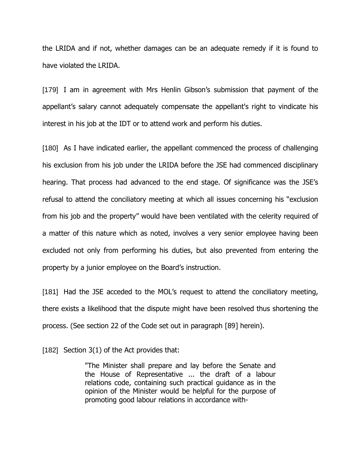the LRIDA and if not, whether damages can be an adequate remedy if it is found to have violated the LRIDA.

[179] I am in agreement with Mrs Henlin Gibson's submission that payment of the appellant's salary cannot adequately compensate the appellant's right to vindicate his interest in his job at the IDT or to attend work and perform his duties.

[180] As I have indicated earlier, the appellant commenced the process of challenging his exclusion from his job under the LRIDA before the JSE had commenced disciplinary hearing. That process had advanced to the end stage. Of significance was the JSE's refusal to attend the conciliatory meeting at which all issues concerning his "exclusion from his job and the property" would have been ventilated with the celerity required of a matter of this nature which as noted, involves a very senior employee having been excluded not only from performing his duties, but also prevented from entering the property by a junior employee on the Board's instruction.

[181] Had the JSE acceded to the MOL's request to attend the conciliatory meeting, there exists a likelihood that the dispute might have been resolved thus shortening the process. (See section 22 of the Code set out in paragraph [89] herein).

[182] Section 3(1) of the Act provides that:

"The Minister shall prepare and lay before the Senate and the House of Representative ... the draft of a labour relations code, containing such practical guidance as in the opinion of the Minister would be helpful for the purpose of promoting good labour relations in accordance with-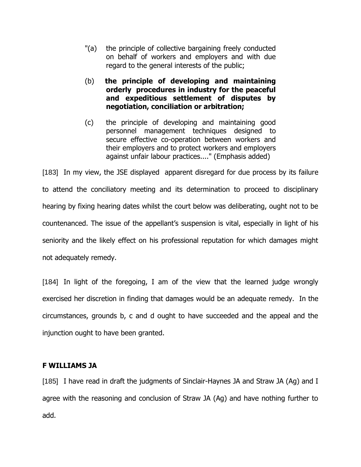- "(a) the principle of collective bargaining freely conducted on behalf of workers and employers and with due regard to the general interests of the public;
- (b) **the principle of developing and maintaining orderly procedures in industry for the peaceful and expeditious settlement of disputes by negotiation, conciliation or arbitration;**
- (c) the principle of developing and maintaining good personnel management techniques designed to secure effective co-operation between workers and their employers and to protect workers and employers against unfair labour practices...." (Emphasis added)

[183] In my view, the JSE displayed apparent disregard for due process by its failure to attend the conciliatory meeting and its determination to proceed to disciplinary hearing by fixing hearing dates whilst the court below was deliberating, ought not to be countenanced. The issue of the appellant's suspension is vital, especially in light of his seniority and the likely effect on his professional reputation for which damages might not adequately remedy.

[184] In light of the foregoing, I am of the view that the learned judge wrongly exercised her discretion in finding that damages would be an adequate remedy. In the circumstances, grounds b, c and d ought to have succeeded and the appeal and the injunction ought to have been granted.

### **F WILLIAMS JA**

[185] I have read in draft the judgments of Sinclair-Haynes JA and Straw JA (Ag) and I agree with the reasoning and conclusion of Straw JA (Ag) and have nothing further to add.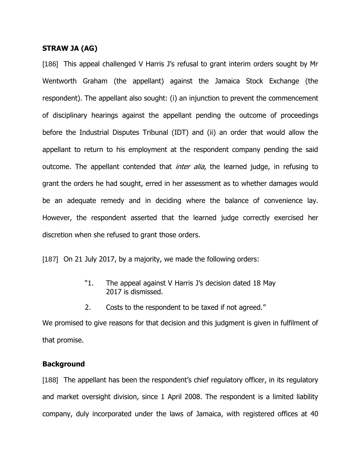### **STRAW JA (AG)**

[186] This appeal challenged V Harris J's refusal to grant interim orders sought by Mr Wentworth Graham (the appellant) against the Jamaica Stock Exchange (the respondent). The appellant also sought: (i) an injunction to prevent the commencement of disciplinary hearings against the appellant pending the outcome of proceedings before the Industrial Disputes Tribunal (IDT) and (ii) an order that would allow the appellant to return to his employment at the respondent company pending the said outcome. The appellant contended that *inter alia*, the learned judge, in refusing to grant the orders he had sought, erred in her assessment as to whether damages would be an adequate remedy and in deciding where the balance of convenience lay. However, the respondent asserted that the learned judge correctly exercised her discretion when she refused to grant those orders.

[187] On 21 July 2017, by a majority, we made the following orders:

- ―1. The appeal against V Harris J's decision dated 18 May 2017 is dismissed.
- 2. Costs to the respondent to be taxed if not agreed."

We promised to give reasons for that decision and this judgment is given in fulfilment of that promise.

#### **Background**

[188] The appellant has been the respondent's chief regulatory officer, in its regulatory and market oversight division, since 1 April 2008. The respondent is a limited liability company, duly incorporated under the laws of Jamaica, with registered offices at 40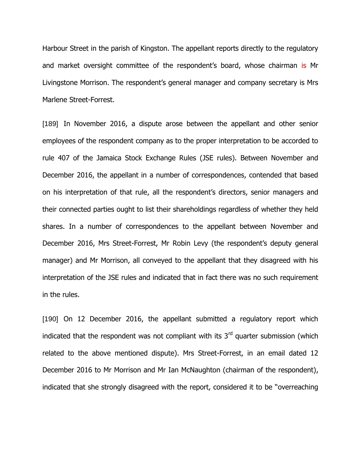Harbour Street in the parish of Kingston. The appellant reports directly to the regulatory and market oversight committee of the respondent's board, whose chairman is Mr Livingstone Morrison. The respondent's general manager and company secretary is Mrs Marlene Street-Forrest.

[189] In November 2016, a dispute arose between the appellant and other senior employees of the respondent company as to the proper interpretation to be accorded to rule 407 of the Jamaica Stock Exchange Rules (JSE rules). Between November and December 2016, the appellant in a number of correspondences, contended that based on his interpretation of that rule, all the respondent's directors, senior managers and their connected parties ought to list their shareholdings regardless of whether they held shares. In a number of correspondences to the appellant between November and December 2016, Mrs Street-Forrest, Mr Robin Levy (the respondent's deputy general manager) and Mr Morrison, all conveyed to the appellant that they disagreed with his interpretation of the JSE rules and indicated that in fact there was no such requirement in the rules.

[190] On 12 December 2016, the appellant submitted a regulatory report which indicated that the respondent was not compliant with its  $3<sup>rd</sup>$  quarter submission (which related to the above mentioned dispute). Mrs Street-Forrest, in an email dated 12 December 2016 to Mr Morrison and Mr Ian McNaughton (chairman of the respondent), indicated that she strongly disagreed with the report, considered it to be "overreaching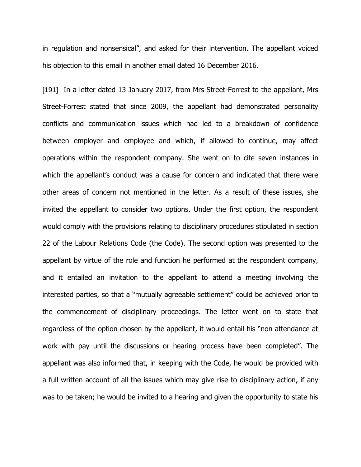in regulation and nonsensical", and asked for their intervention. The appellant voiced his objection to this email in another email dated 16 December 2016.

[191] In a letter dated 13 January 2017, from Mrs Street-Forrest to the appellant, Mrs Street-Forrest stated that since 2009, the appellant had demonstrated personality conflicts and communication issues which had led to a breakdown of confidence between employer and employee and which, if allowed to continue, may affect operations within the respondent company. She went on to cite seven instances in which the appellant's conduct was a cause for concern and indicated that there were other areas of concern not mentioned in the letter. As a result of these issues, she invited the appellant to consider two options. Under the first option, the respondent would comply with the provisions relating to disciplinary procedures stipulated in section 22 of the Labour Relations Code (the Code). The second option was presented to the appellant by virtue of the role and function he performed at the respondent company, and it entailed an invitation to the appellant to attend a meeting involving the interested parties, so that a "mutually agreeable settlement" could be achieved prior to the commencement of disciplinary proceedings. The letter went on to state that regardless of the option chosen by the appellant, it would entail his "non attendance at work with pay until the discussions or hearing process have been completed". The appellant was also informed that, in keeping with the Code, he would be provided with a full written account of all the issues which may give rise to disciplinary action, if any was to be taken; he would be invited to a hearing and given the opportunity to state his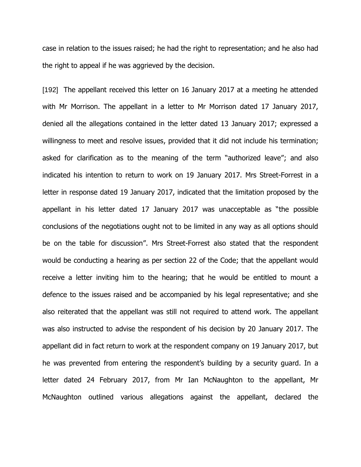case in relation to the issues raised; he had the right to representation; and he also had the right to appeal if he was aggrieved by the decision.

[192] The appellant received this letter on 16 January 2017 at a meeting he attended with Mr Morrison. The appellant in a letter to Mr Morrison dated 17 January 2017, denied all the allegations contained in the letter dated 13 January 2017; expressed a willingness to meet and resolve issues, provided that it did not include his termination; asked for clarification as to the meaning of the term "authorized leave"; and also indicated his intention to return to work on 19 January 2017. Mrs Street-Forrest in a letter in response dated 19 January 2017, indicated that the limitation proposed by the appellant in his letter dated 17 January 2017 was unacceptable as "the possible conclusions of the negotiations ought not to be limited in any way as all options should be on the table for discussion". Mrs Street-Forrest also stated that the respondent would be conducting a hearing as per section 22 of the Code; that the appellant would receive a letter inviting him to the hearing; that he would be entitled to mount a defence to the issues raised and be accompanied by his legal representative; and she also reiterated that the appellant was still not required to attend work. The appellant was also instructed to advise the respondent of his decision by 20 January 2017. The appellant did in fact return to work at the respondent company on 19 January 2017, but he was prevented from entering the respondent's building by a security guard. In a letter dated 24 February 2017, from Mr Ian McNaughton to the appellant, Mr McNaughton outlined various allegations against the appellant, declared the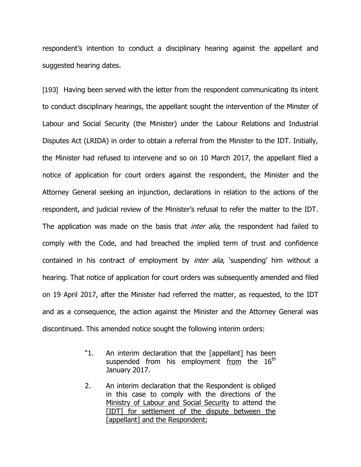respondent's intention to conduct a disciplinary hearing against the appellant and suggested hearing dates.

[193] Having been served with the letter from the respondent communicating its intent to conduct disciplinary hearings, the appellant sought the intervention of the Minster of Labour and Social Security (the Minister) under the Labour Relations and Industrial Disputes Act (LRIDA) in order to obtain a referral from the Minister to the IDT. Initially, the Minister had refused to intervene and so on 10 March 2017, the appellant filed a notice of application for court orders against the respondent, the Minister and the Attorney General seeking an injunction, declarations in relation to the actions of the respondent, and judicial review of the Minister's refusal to refer the matter to the IDT. The application was made on the basis that *inter alia*, the respondent had failed to comply with the Code, and had breached the implied term of trust and confidence contained in his contract of employment by *inter alia*, 'suspending' him without a hearing. That notice of application for court orders was subsequently amended and filed on 19 April 2017, after the Minister had referred the matter, as requested, to the IDT and as a consequence, the action against the Minister and the Attorney General was discontinued. This amended notice sought the following interim orders:

- "1. An interim declaration that the [appellant] has been suspended from his employment from the  $16<sup>th</sup>$ January 2017.
- 2. An interim declaration that the Respondent is obliged in this case to comply with the directions of the Ministry of Labour and Social Security to attend the [IDT] for settlement of the dispute between the [appellant] and the Respondent;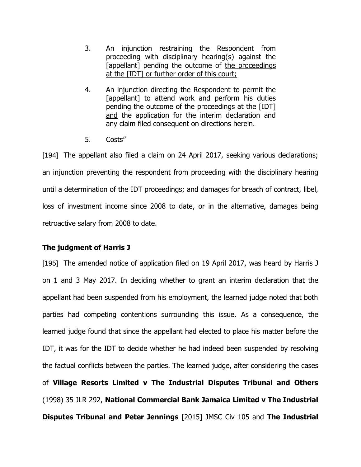- 3. An injunction restraining the Respondent from proceeding with disciplinary hearing(s) against the [appellant] pending the outcome of the proceedings at the [IDT] or further order of this court;
- 4. An injunction directing the Respondent to permit the [appellant] to attend work and perform his duties pending the outcome of the proceedings at the [IDT] and the application for the interim declaration and any claim filed consequent on directions herein.
- 5. Costs"

[194] The appellant also filed a claim on 24 April 2017, seeking various declarations; an injunction preventing the respondent from proceeding with the disciplinary hearing until a determination of the IDT proceedings; and damages for breach of contract, libel, loss of investment income since 2008 to date, or in the alternative, damages being retroactive salary from 2008 to date.

### **The judgment of Harris J**

[195] The amended notice of application filed on 19 April 2017, was heard by Harris J on 1 and 3 May 2017. In deciding whether to grant an interim declaration that the appellant had been suspended from his employment, the learned judge noted that both parties had competing contentions surrounding this issue. As a consequence, the learned judge found that since the appellant had elected to place his matter before the IDT, it was for the IDT to decide whether he had indeed been suspended by resolving the factual conflicts between the parties. The learned judge, after considering the cases of **Village Resorts Limited v The Industrial Disputes Tribunal and Others**  (1998) 35 JLR 292, **National Commercial Bank Jamaica Limited v The Industrial Disputes Tribunal and Peter Jennings** [2015] JMSC Civ 105 and **The Industrial**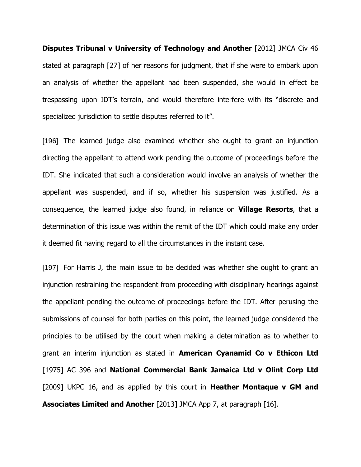**Disputes Tribunal v University of Technology and Another** [2012] JMCA Civ 46 stated at paragraph [27] of her reasons for judgment, that if she were to embark upon an analysis of whether the appellant had been suspended, she would in effect be trespassing upon IDT's terrain, and would therefore interfere with its "discrete and specialized jurisdiction to settle disputes referred to it".

[196] The learned judge also examined whether she ought to grant an injunction directing the appellant to attend work pending the outcome of proceedings before the IDT. She indicated that such a consideration would involve an analysis of whether the appellant was suspended, and if so, whether his suspension was justified. As a consequence, the learned judge also found, in reliance on **Village Resorts**, that a determination of this issue was within the remit of the IDT which could make any order it deemed fit having regard to all the circumstances in the instant case.

[197] For Harris J, the main issue to be decided was whether she ought to grant an injunction restraining the respondent from proceeding with disciplinary hearings against the appellant pending the outcome of proceedings before the IDT. After perusing the submissions of counsel for both parties on this point, the learned judge considered the principles to be utilised by the court when making a determination as to whether to grant an interim injunction as stated in **American Cyanamid Co v Ethicon Ltd**  [1975] AC 396 and **National Commercial Bank Jamaica Ltd v Olint Corp Ltd**  [2009] UKPC 16, and as applied by this court in **Heather Montaque v GM and Associates Limited and Another** [2013] JMCA App 7, at paragraph [16].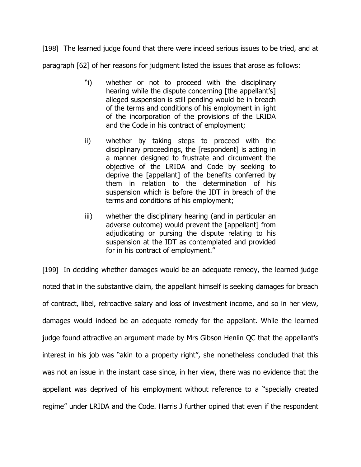[198] The learned judge found that there were indeed serious issues to be tried, and at paragraph [62] of her reasons for judgment listed the issues that arose as follows:

- "i) whether or not to proceed with the disciplinary hearing while the dispute concerning [the appellant's] alleged suspension is still pending would be in breach of the terms and conditions of his employment in light of the incorporation of the provisions of the LRIDA and the Code in his contract of employment;
- ii) whether by taking steps to proceed with the disciplinary proceedings, the [respondent] is acting in a manner designed to frustrate and circumvent the objective of the LRIDA and Code by seeking to deprive the [appellant] of the benefits conferred by them in relation to the determination of his suspension which is before the IDT in breach of the terms and conditions of his employment;
- iii) whether the disciplinary hearing (and in particular an adverse outcome) would prevent the [appellant] from adjudicating or pursing the dispute relating to his suspension at the IDT as contemplated and provided for in his contract of employment."

[199] In deciding whether damages would be an adequate remedy, the learned judge noted that in the substantive claim, the appellant himself is seeking damages for breach of contract, libel, retroactive salary and loss of investment income, and so in her view, damages would indeed be an adequate remedy for the appellant. While the learned judge found attractive an argument made by Mrs Gibson Henlin QC that the appellant's interest in his job was "akin to a property right", she nonetheless concluded that this was not an issue in the instant case since, in her view, there was no evidence that the appellant was deprived of his employment without reference to a "specially created regime" under LRIDA and the Code. Harris J further opined that even if the respondent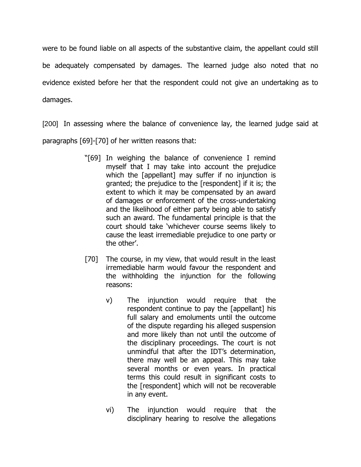were to be found liable on all aspects of the substantive claim, the appellant could still be adequately compensated by damages. The learned judge also noted that no evidence existed before her that the respondent could not give an undertaking as to damages.

[200] In assessing where the balance of convenience lay, the learned judge said at paragraphs [69]-[70] of her written reasons that:

- $\degree$ [69] In weighing the balance of convenience I remind myself that I may take into account the prejudice which the [appellant] may suffer if no injunction is granted; the prejudice to the [respondent] if it is; the extent to which it may be compensated by an award of damages or enforcement of the cross-undertaking and the likelihood of either party being able to satisfy such an award. The fundamental principle is that the court should take ‗whichever course seems likely to cause the least irremediable prejudice to one party or the other'.
- [70] The course, in my view, that would result in the least irremediable harm would favour the respondent and the withholding the injunction for the following reasons:
	- v) The injunction would require that the respondent continue to pay the [appellant] his full salary and emoluments until the outcome of the dispute regarding his alleged suspension and more likely than not until the outcome of the disciplinary proceedings. The court is not unmindful that after the IDT's determination, there may well be an appeal. This may take several months or even years. In practical terms this could result in significant costs to the [respondent] which will not be recoverable in any event.
	- vi) The injunction would require that the disciplinary hearing to resolve the allegations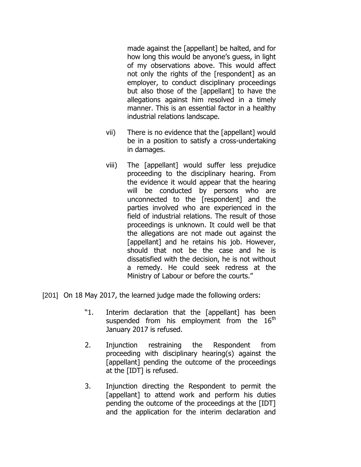made against the [appellant] be halted, and for how long this would be anyone's guess, in light of my observations above. This would affect not only the rights of the [respondent] as an employer, to conduct disciplinary proceedings but also those of the [appellant] to have the allegations against him resolved in a timely manner. This is an essential factor in a healthy industrial relations landscape.

- vii) There is no evidence that the [appellant] would be in a position to satisfy a cross-undertaking in damages.
- viii) The [appellant] would suffer less prejudice proceeding to the disciplinary hearing. From the evidence it would appear that the hearing will be conducted by persons who are unconnected to the [respondent] and the parties involved who are experienced in the field of industrial relations. The result of those proceedings is unknown. It could well be that the allegations are not made out against the [appellant] and he retains his job. However, should that not be the case and he is dissatisfied with the decision, he is not without a remedy. He could seek redress at the Ministry of Labour or before the courts."

[201] On 18 May 2017, the learned judge made the following orders:

- "1. Interim declaration that the [appellant] has been suspended from his employment from the  $16<sup>th</sup>$ January 2017 is refused.
- 2. Injunction restraining the Respondent from proceeding with disciplinary hearing(s) against the [appellant] pending the outcome of the proceedings at the [IDT] is refused.
- 3. Injunction directing the Respondent to permit the [appellant] to attend work and perform his duties pending the outcome of the proceedings at the [IDT] and the application for the interim declaration and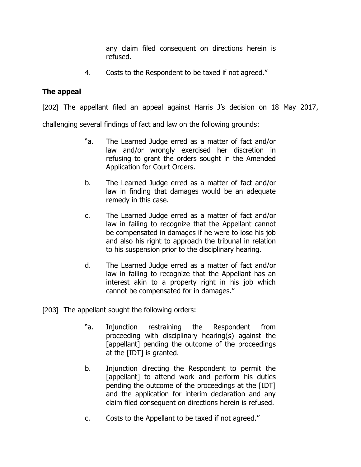any claim filed consequent on directions herein is refused.

4. Costs to the Respondent to be taxed if not agreed."

## **The appeal**

[202] The appellant filed an appeal against Harris J's decision on 18 May 2017,

challenging several findings of fact and law on the following grounds:

- "a. The Learned Judge erred as a matter of fact and/or law and/or wrongly exercised her discretion in refusing to grant the orders sought in the Amended Application for Court Orders.
- b. The Learned Judge erred as a matter of fact and/or law in finding that damages would be an adequate remedy in this case.
- c. The Learned Judge erred as a matter of fact and/or law in failing to recognize that the Appellant cannot be compensated in damages if he were to lose his job and also his right to approach the tribunal in relation to his suspension prior to the disciplinary hearing.
- d. The Learned Judge erred as a matter of fact and/or law in failing to recognize that the Appellant has an interest akin to a property right in his job which cannot be compensated for in damages."
- [203] The appellant sought the following orders:
	- "a. Injunction restraining the Respondent from proceeding with disciplinary hearing(s) against the [appellant] pending the outcome of the proceedings at the [IDT] is granted.
	- b. Injunction directing the Respondent to permit the [appellant] to attend work and perform his duties pending the outcome of the proceedings at the [IDT] and the application for interim declaration and any claim filed consequent on directions herein is refused.
	- c. Costs to the Appellant to be taxed if not agreed."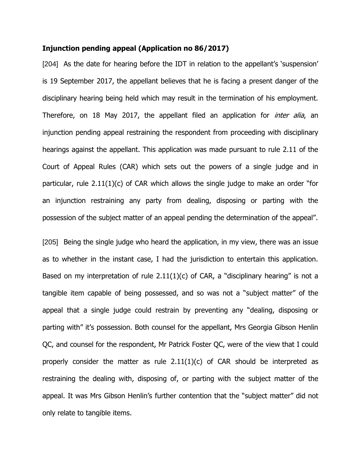#### **Injunction pending appeal (Application no 86/2017)**

[204] As the date for hearing before the IDT in relation to the appellant's 'suspension' is 19 September 2017, the appellant believes that he is facing a present danger of the disciplinary hearing being held which may result in the termination of his employment. Therefore, on 18 May 2017, the appellant filed an application for *inter alia*, an injunction pending appeal restraining the respondent from proceeding with disciplinary hearings against the appellant. This application was made pursuant to rule 2.11 of the Court of Appeal Rules (CAR) which sets out the powers of a single judge and in particular, rule  $2.11(1)(c)$  of CAR which allows the single judge to make an order "for an injunction restraining any party from dealing, disposing or parting with the possession of the subject matter of an appeal pending the determination of the appeal".

[205] Being the single judge who heard the application, in my view, there was an issue as to whether in the instant case, I had the jurisdiction to entertain this application. Based on my interpretation of rule  $2.11(1)(c)$  of CAR, a "disciplinary hearing" is not a tangible item capable of being possessed, and so was not a "subject matter" of the appeal that a single judge could restrain by preventing any "dealing, disposing or parting with" it's possession. Both counsel for the appellant, Mrs Georgia Gibson Henlin QC, and counsel for the respondent, Mr Patrick Foster QC, were of the view that I could properly consider the matter as rule  $2.11(1)(c)$  of CAR should be interpreted as restraining the dealing with, disposing of, or parting with the subject matter of the appeal. It was Mrs Gibson Henlin's further contention that the "subject matter" did not only relate to tangible items.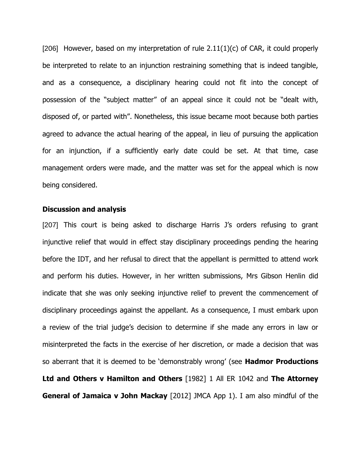[206] However, based on my interpretation of rule  $2.11(1)(c)$  of CAR, it could properly be interpreted to relate to an injunction restraining something that is indeed tangible, and as a consequence, a disciplinary hearing could not fit into the concept of possession of the "subject matter" of an appeal since it could not be "dealt with, disposed of, or parted with". Nonetheless, this issue became moot because both parties agreed to advance the actual hearing of the appeal, in lieu of pursuing the application for an injunction, if a sufficiently early date could be set. At that time, case management orders were made, and the matter was set for the appeal which is now being considered.

#### **Discussion and analysis**

[207] This court is being asked to discharge Harris J's orders refusing to grant injunctive relief that would in effect stay disciplinary proceedings pending the hearing before the IDT, and her refusal to direct that the appellant is permitted to attend work and perform his duties. However, in her written submissions, Mrs Gibson Henlin did indicate that she was only seeking injunctive relief to prevent the commencement of disciplinary proceedings against the appellant. As a consequence, I must embark upon a review of the trial judge's decision to determine if she made any errors in law or misinterpreted the facts in the exercise of her discretion, or made a decision that was so aberrant that it is deemed to be ‗demonstrably wrong' (see **Hadmor Productions Ltd and Others v Hamilton and Others** [1982] 1 All ER 1042 and **The Attorney General of Jamaica v John Mackay** [2012] JMCA App 1). I am also mindful of the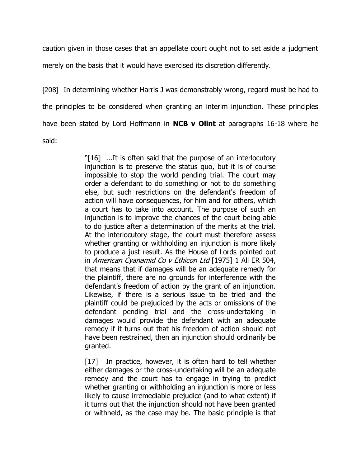caution given in those cases that an appellate court ought not to set aside a judgment merely on the basis that it would have exercised its discretion differently.

[208] In determining whether Harris J was demonstrably wrong, regard must be had to the principles to be considered when granting an interim injunction. These principles have been stated by Lord Hoffmann in **NCB v Olint** at paragraphs 16-18 where he said:

> "[16] ...It is often said that the purpose of an interlocutory injunction is to preserve the status quo, but it is of course impossible to stop the world pending trial. The court may order a defendant to do something or not to do something else, but such restrictions on the defendant's freedom of action will have consequences, for him and for others, which a court has to take into account. The purpose of such an injunction is to improve the chances of the court being able to do justice after a determination of the merits at the trial. At the interlocutory stage, the court must therefore assess whether granting or withholding an injunction is more likely to produce a just result. As the House of Lords pointed out in American Cyanamid Co v Ethicon Ltd [1975] 1 All ER 504, that means that if damages will be an adequate remedy for the plaintiff, there are no grounds for interference with the defendant's freedom of action by the grant of an injunction. Likewise, if there is a serious issue to be tried and the plaintiff could be prejudiced by the acts or omissions of the defendant pending trial and the cross-undertaking in damages would provide the defendant with an adequate remedy if it turns out that his freedom of action should not have been restrained, then an injunction should ordinarily be granted.

> [17] In practice, however, it is often hard to tell whether either damages or the cross-undertaking will be an adequate remedy and the court has to engage in trying to predict whether granting or withholding an injunction is more or less likely to cause irremediable prejudice (and to what extent) if it turns out that the injunction should not have been granted or withheld, as the case may be. The basic principle is that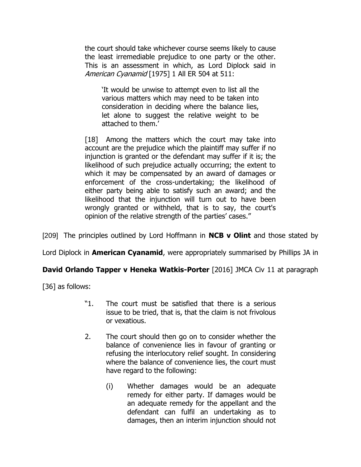the court should take whichever course seems likely to cause the least irremediable prejudice to one party or the other. This is an assessment in which, as Lord Diplock said in American Cyanamid [1975] 1 All ER 504 at 511:

It would be unwise to attempt even to list all the various matters which may need to be taken into consideration in deciding where the balance lies, let alone to suggest the relative weight to be attached to them.'

[18] Among the matters which the court may take into account are the prejudice which the plaintiff may suffer if no injunction is granted or the defendant may suffer if it is; the likelihood of such prejudice actually occurring; the extent to which it may be compensated by an award of damages or enforcement of the cross-undertaking; the likelihood of either party being able to satisfy such an award; and the likelihood that the injunction will turn out to have been wrongly granted or withheld, that is to say, the court's opinion of the relative strength of the parties' cases."

[209] The principles outlined by Lord Hoffmann in **NCB v Olint** and those stated by

Lord Diplock in **American Cyanamid**, were appropriately summarised by Phillips JA in

## **David Orlando Tapper v Heneka Watkis-Porter** [2016] JMCA Civ 11 at paragraph

[36] as follows:

- "1. The court must be satisfied that there is a serious issue to be tried, that is, that the claim is not frivolous or vexatious.
- 2. The court should then go on to consider whether the balance of convenience lies in favour of granting or refusing the interlocutory relief sought. In considering where the balance of convenience lies, the court must have regard to the following:
	- (i) Whether damages would be an adequate remedy for either party. If damages would be an adequate remedy for the appellant and the defendant can fulfil an undertaking as to damages, then an interim injunction should not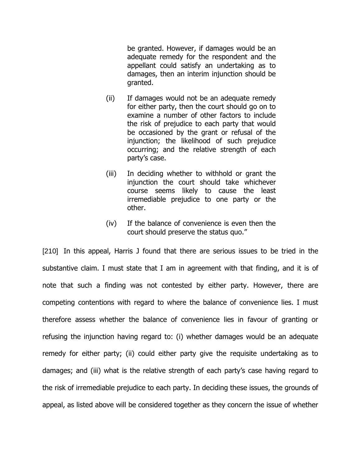be granted. However, if damages would be an adequate remedy for the respondent and the appellant could satisfy an undertaking as to damages, then an interim injunction should be granted.

- (ii) If damages would not be an adequate remedy for either party, then the court should go on to examine a number of other factors to include the risk of prejudice to each party that would be occasioned by the grant or refusal of the injunction; the likelihood of such prejudice occurring; and the relative strength of each party's case.
- (iii) In deciding whether to withhold or grant the injunction the court should take whichever course seems likely to cause the least irremediable prejudice to one party or the other.
- (iv) If the balance of convenience is even then the court should preserve the status quo."

[210] In this appeal, Harris J found that there are serious issues to be tried in the substantive claim. I must state that I am in agreement with that finding, and it is of note that such a finding was not contested by either party. However, there are competing contentions with regard to where the balance of convenience lies. I must therefore assess whether the balance of convenience lies in favour of granting or refusing the injunction having regard to: (i) whether damages would be an adequate remedy for either party; (ii) could either party give the requisite undertaking as to damages; and (iii) what is the relative strength of each party's case having regard to the risk of irremediable prejudice to each party. In deciding these issues, the grounds of appeal, as listed above will be considered together as they concern the issue of whether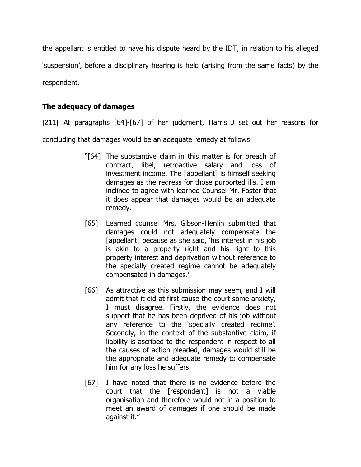the appellant is entitled to have his dispute heard by the IDT, in relation to his alleged ‗suspension', before a disciplinary hearing is held (arising from the same facts) by the respondent.

## **The adequacy of damages**

[211] At paragraphs [64]-[67] of her judgment, Harris J set out her reasons for

concluding that damages would be an adequate remedy at follows:

- ―[64] The substantive claim in this matter is for breach of contract, libel, retroactive salary and loss of investment income. The [appellant] is himself seeking damages as the redress for those purported ills. I am inclined to agree with learned Counsel Mr. Foster that it does appear that damages would be an adequate remedy.
- [65] Learned counsel Mrs. Gibson-Henlin submitted that damages could not adequately compensate the [appellant] because as she said, 'his interest in his job is akin to a property right and his right to this property interest and deprivation without reference to the specially created regime cannot be adequately compensated in damages.'
- [66] As attractive as this submission may seem, and I will admit that it did at first cause the court some anxiety, I must disagree. Firstly, the evidence does not support that he has been deprived of his job without any reference to the 'specially created regime'. Secondly, in the context of the substantive claim, if liability is ascribed to the respondent in respect to all the causes of action pleaded, damages would still be the appropriate and adequate remedy to compensate him for any loss he suffers.
- [67] I have noted that there is no evidence before the court that the [respondent] is not a viable organisation and therefore would not in a position to meet an award of damages if one should be made against it."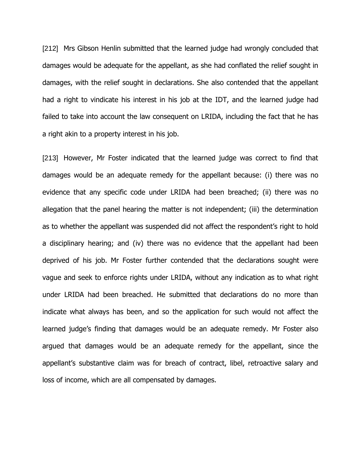[212] Mrs Gibson Henlin submitted that the learned judge had wrongly concluded that damages would be adequate for the appellant, as she had conflated the relief sought in damages, with the relief sought in declarations. She also contended that the appellant had a right to vindicate his interest in his job at the IDT, and the learned judge had failed to take into account the law consequent on LRIDA, including the fact that he has a right akin to a property interest in his job.

[213] However, Mr Foster indicated that the learned judge was correct to find that damages would be an adequate remedy for the appellant because: (i) there was no evidence that any specific code under LRIDA had been breached; (ii) there was no allegation that the panel hearing the matter is not independent; (iii) the determination as to whether the appellant was suspended did not affect the respondent's right to hold a disciplinary hearing; and (iv) there was no evidence that the appellant had been deprived of his job. Mr Foster further contended that the declarations sought were vague and seek to enforce rights under LRIDA, without any indication as to what right under LRIDA had been breached. He submitted that declarations do no more than indicate what always has been, and so the application for such would not affect the learned judge's finding that damages would be an adequate remedy. Mr Foster also argued that damages would be an adequate remedy for the appellant, since the appellant's substantive claim was for breach of contract, libel, retroactive salary and loss of income, which are all compensated by damages.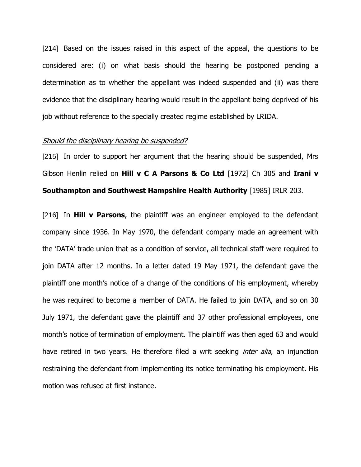[214] Based on the issues raised in this aspect of the appeal, the questions to be considered are: (i) on what basis should the hearing be postponed pending a determination as to whether the appellant was indeed suspended and (ii) was there evidence that the disciplinary hearing would result in the appellant being deprived of his job without reference to the specially created regime established by LRIDA.

#### Should the disciplinary hearing be suspended?

[215] In order to support her argument that the hearing should be suspended, Mrs Gibson Henlin relied on **Hill v C A Parsons & Co Ltd** [1972] Ch 305 and **Irani v Southampton and Southwest Hampshire Health Authority** [1985] IRLR 203.

[216] In **Hill v Parsons**, the plaintiff was an engineer employed to the defendant company since 1936. In May 1970, the defendant company made an agreement with the ‗DATA' trade union that as a condition of service, all technical staff were required to join DATA after 12 months. In a letter dated 19 May 1971, the defendant gave the plaintiff one month's notice of a change of the conditions of his employment, whereby he was required to become a member of DATA. He failed to join DATA, and so on 30 July 1971, the defendant gave the plaintiff and 37 other professional employees, one month's notice of termination of employment. The plaintiff was then aged 63 and would have retired in two years. He therefore filed a writ seeking *inter alia*, an injunction restraining the defendant from implementing its notice terminating his employment. His motion was refused at first instance.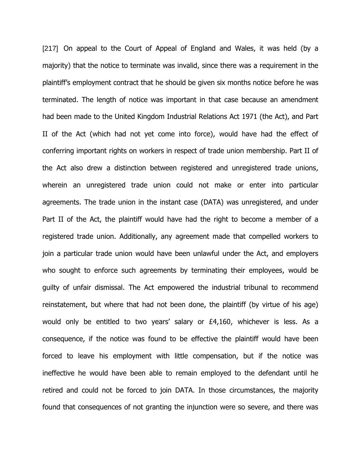[217] On appeal to the Court of Appeal of England and Wales, it was held (by a majority) that the notice to terminate was invalid, since there was a requirement in the plaintiff's employment contract that he should be given six months notice before he was terminated. The length of notice was important in that case because an amendment had been made to the United Kingdom Industrial Relations Act 1971 (the Act), and Part II of the Act (which had not yet come into force), would have had the effect of conferring important rights on workers in respect of trade union membership. Part II of the Act also drew a distinction between registered and unregistered trade unions, wherein an unregistered trade union could not make or enter into particular agreements. The trade union in the instant case (DATA) was unregistered, and under Part II of the Act, the plaintiff would have had the right to become a member of a registered trade union. Additionally, any agreement made that compelled workers to join a particular trade union would have been unlawful under the Act, and employers who sought to enforce such agreements by terminating their employees, would be guilty of unfair dismissal. The Act empowered the industrial tribunal to recommend reinstatement, but where that had not been done, the plaintiff (by virtue of his age) would only be entitled to two years' salary or £4,160, whichever is less. As a consequence, if the notice was found to be effective the plaintiff would have been forced to leave his employment with little compensation, but if the notice was ineffective he would have been able to remain employed to the defendant until he retired and could not be forced to join DATA. In those circumstances, the majority found that consequences of not granting the injunction were so severe, and there was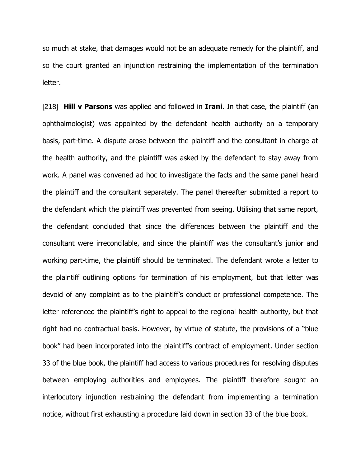so much at stake, that damages would not be an adequate remedy for the plaintiff, and so the court granted an injunction restraining the implementation of the termination letter.

[218] **Hill v Parsons** was applied and followed in **Irani**. In that case, the plaintiff (an ophthalmologist) was appointed by the defendant health authority on a temporary basis, part-time. A dispute arose between the plaintiff and the consultant in charge at the health authority, and the plaintiff was asked by the defendant to stay away from work. A panel was convened ad hoc to investigate the facts and the same panel heard the plaintiff and the consultant separately. The panel thereafter submitted a report to the defendant which the plaintiff was prevented from seeing. Utilising that same report, the defendant concluded that since the differences between the plaintiff and the consultant were irreconcilable, and since the plaintiff was the consultant's junior and working part-time, the plaintiff should be terminated. The defendant wrote a letter to the plaintiff outlining options for termination of his employment, but that letter was devoid of any complaint as to the plaintiff's conduct or professional competence. The letter referenced the plaintiff's right to appeal to the regional health authority, but that right had no contractual basis. However, by virtue of statute, the provisions of a "blue book" had been incorporated into the plaintiff's contract of employment. Under section 33 of the blue book, the plaintiff had access to various procedures for resolving disputes between employing authorities and employees. The plaintiff therefore sought an interlocutory injunction restraining the defendant from implementing a termination notice, without first exhausting a procedure laid down in section 33 of the blue book.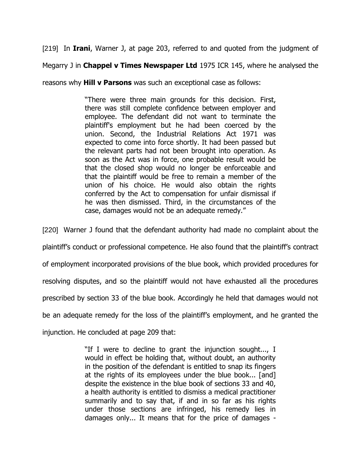[219] In **Irani**, Warner J, at page 203, referred to and quoted from the judgment of

Megarry J in **Chappel v Times Newspaper Ltd** 1975 ICR 145, where he analysed the

reasons why **Hill v Parsons** was such an exceptional case as follows:

―There were three main grounds for this decision. First, there was still complete confidence between employer and employee. The defendant did not want to terminate the plaintiff's employment but he had been coerced by the union. Second, the Industrial Relations Act 1971 was expected to come into force shortly. It had been passed but the relevant parts had not been brought into operation. As soon as the Act was in force, one probable result would be that the closed shop would no longer be enforceable and that the plaintiff would be free to remain a member of the union of his choice. He would also obtain the rights conferred by the Act to compensation for unfair dismissal if he was then dismissed. Third, in the circumstances of the case, damages would not be an adequate remedy."

[220] Warner J found that the defendant authority had made no complaint about the plaintiff's conduct or professional competence. He also found that the plaintiff's contract of employment incorporated provisions of the blue book, which provided procedures for resolving disputes, and so the plaintiff would not have exhausted all the procedures prescribed by section 33 of the blue book. Accordingly he held that damages would not be an adequate remedy for the loss of the plaintiff's employment, and he granted the injunction. He concluded at page 209 that:

> "If I were to decline to grant the injunction sought..., I would in effect be holding that, without doubt, an authority in the position of the defendant is entitled to snap its fingers at the rights of its employees under the blue book... [and] despite the existence in the blue book of sections 33 and 40, a health authority is entitled to dismiss a medical practitioner summarily and to say that, if and in so far as his rights under those sections are infringed, his remedy lies in damages only... It means that for the price of damages -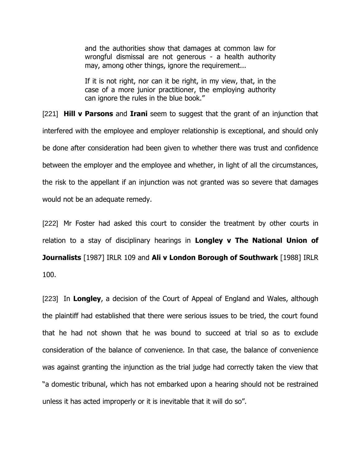and the authorities show that damages at common law for wrongful dismissal are not generous - a health authority may, among other things, ignore the requirement...

If it is not right, nor can it be right, in my view, that, in the case of a more junior practitioner, the employing authority can ignore the rules in the blue book."

[221] **Hill v Parsons** and **Irani** seem to suggest that the grant of an injunction that interfered with the employee and employer relationship is exceptional, and should only be done after consideration had been given to whether there was trust and confidence between the employer and the employee and whether, in light of all the circumstances, the risk to the appellant if an injunction was not granted was so severe that damages would not be an adequate remedy.

[222] Mr Foster had asked this court to consider the treatment by other courts in relation to a stay of disciplinary hearings in **Longley v The National Union of Journalists** [1987] IRLR 109 and **Ali v London Borough of Southwark** [1988] IRLR 100.

[223] In **Longley**, a decision of the Court of Appeal of England and Wales, although the plaintiff had established that there were serious issues to be tried, the court found that he had not shown that he was bound to succeed at trial so as to exclude consideration of the balance of convenience. In that case, the balance of convenience was against granting the injunction as the trial judge had correctly taken the view that "a domestic tribunal, which has not embarked upon a hearing should not be restrained unless it has acted improperly or it is inevitable that it will do so".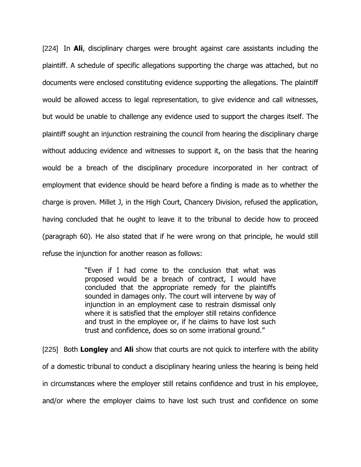[224] In **Ali**, disciplinary charges were brought against care assistants including the plaintiff. A schedule of specific allegations supporting the charge was attached, but no documents were enclosed constituting evidence supporting the allegations. The plaintiff would be allowed access to legal representation, to give evidence and call witnesses, but would be unable to challenge any evidence used to support the charges itself. The plaintiff sought an injunction restraining the council from hearing the disciplinary charge without adducing evidence and witnesses to support it, on the basis that the hearing would be a breach of the disciplinary procedure incorporated in her contract of employment that evidence should be heard before a finding is made as to whether the charge is proven. Millet J, in the High Court, Chancery Division, refused the application, having concluded that he ought to leave it to the tribunal to decide how to proceed (paragraph 60). He also stated that if he were wrong on that principle, he would still refuse the injunction for another reason as follows:

> ―Even if I had come to the conclusion that what was proposed would be a breach of contract, I would have concluded that the appropriate remedy for the plaintiffs sounded in damages only. The court will intervene by way of injunction in an employment case to restrain dismissal only where it is satisfied that the employer still retains confidence and trust in the employee or, if he claims to have lost such trust and confidence, does so on some irrational ground."

[225] Both **Longley** and **Ali** show that courts are not quick to interfere with the ability of a domestic tribunal to conduct a disciplinary hearing unless the hearing is being held in circumstances where the employer still retains confidence and trust in his employee, and/or where the employer claims to have lost such trust and confidence on some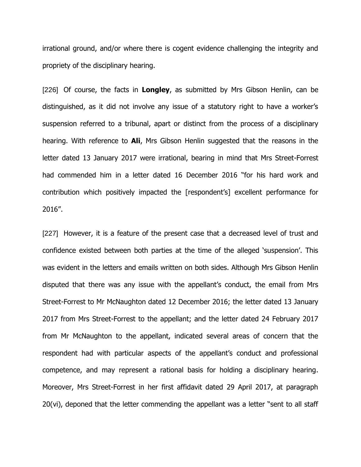irrational ground, and/or where there is cogent evidence challenging the integrity and propriety of the disciplinary hearing.

[226] Of course, the facts in **Longley**, as submitted by Mrs Gibson Henlin, can be distinguished, as it did not involve any issue of a statutory right to have a worker's suspension referred to a tribunal, apart or distinct from the process of a disciplinary hearing. With reference to **Ali**, Mrs Gibson Henlin suggested that the reasons in the letter dated 13 January 2017 were irrational, bearing in mind that Mrs Street-Forrest had commended him in a letter dated 16 December 2016 "for his hard work and contribution which positively impacted the [respondent's] excellent performance for 2016".

[227] However, it is a feature of the present case that a decreased level of trust and confidence existed between both parties at the time of the alleged 'suspension'. This was evident in the letters and emails written on both sides. Although Mrs Gibson Henlin disputed that there was any issue with the appellant's conduct, the email from Mrs Street-Forrest to Mr McNaughton dated 12 December 2016; the letter dated 13 January 2017 from Mrs Street-Forrest to the appellant; and the letter dated 24 February 2017 from Mr McNaughton to the appellant, indicated several areas of concern that the respondent had with particular aspects of the appellant's conduct and professional competence, and may represent a rational basis for holding a disciplinary hearing. Moreover, Mrs Street-Forrest in her first affidavit dated 29 April 2017, at paragraph 20(vi), deponed that the letter commending the appellant was a letter "sent to all staff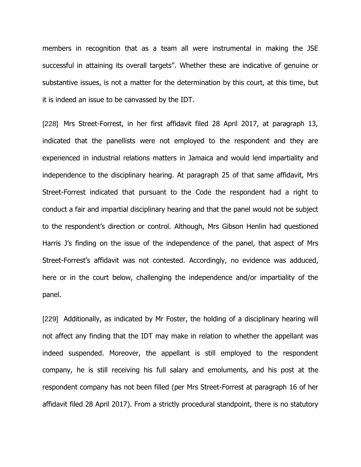members in recognition that as a team all were instrumental in making the JSE successful in attaining its overall targets". Whether these are indicative of genuine or substantive issues, is not a matter for the determination by this court, at this time, but it is indeed an issue to be canvassed by the IDT.

[228] Mrs Street-Forrest, in her first affidavit filed 28 April 2017, at paragraph 13, indicated that the panellists were not employed to the respondent and they are experienced in industrial relations matters in Jamaica and would lend impartiality and independence to the disciplinary hearing. At paragraph 25 of that same affidavit, Mrs Street-Forrest indicated that pursuant to the Code the respondent had a right to conduct a fair and impartial disciplinary hearing and that the panel would not be subject to the respondent's direction or control. Although, Mrs Gibson Henlin had questioned Harris J's finding on the issue of the independence of the panel, that aspect of Mrs Street-Forrest's affidavit was not contested. Accordingly, no evidence was adduced, here or in the court below, challenging the independence and/or impartiality of the panel.

[229] Additionally, as indicated by Mr Foster, the holding of a disciplinary hearing will not affect any finding that the IDT may make in relation to whether the appellant was indeed suspended. Moreover, the appellant is still employed to the respondent company, he is still receiving his full salary and emoluments, and his post at the respondent company has not been filled (per Mrs Street-Forrest at paragraph 16 of her affidavit filed 28 April 2017). From a strictly procedural standpoint, there is no statutory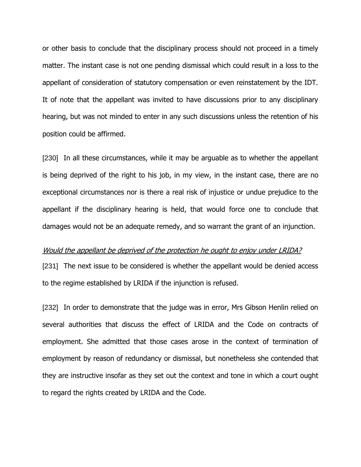or other basis to conclude that the disciplinary process should not proceed in a timely matter. The instant case is not one pending dismissal which could result in a loss to the appellant of consideration of statutory compensation or even reinstatement by the IDT. It of note that the appellant was invited to have discussions prior to any disciplinary hearing, but was not minded to enter in any such discussions unless the retention of his position could be affirmed.

[230] In all these circumstances, while it may be arguable as to whether the appellant is being deprived of the right to his job, in my view, in the instant case, there are no exceptional circumstances nor is there a real risk of injustice or undue prejudice to the appellant if the disciplinary hearing is held, that would force one to conclude that damages would not be an adequate remedy, and so warrant the grant of an injunction.

#### Would the appellant be deprived of the protection he ought to enjoy under LRIDA?

[231] The next issue to be considered is whether the appellant would be denied access to the regime established by LRIDA if the injunction is refused.

[232] In order to demonstrate that the judge was in error, Mrs Gibson Henlin relied on several authorities that discuss the effect of LRIDA and the Code on contracts of employment. She admitted that those cases arose in the context of termination of employment by reason of redundancy or dismissal, but nonetheless she contended that they are instructive insofar as they set out the context and tone in which a court ought to regard the rights created by LRIDA and the Code.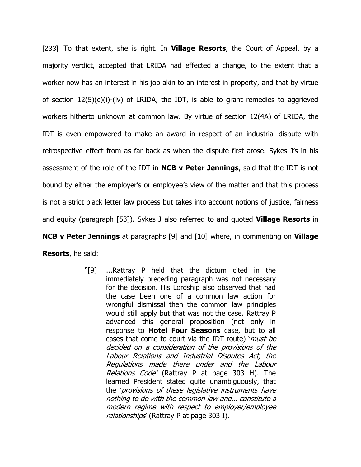[233] To that extent, she is right. In **Village Resorts**, the Court of Appeal, by a majority verdict, accepted that LRIDA had effected a change, to the extent that a worker now has an interest in his job akin to an interest in property, and that by virtue of section  $12(5)(c)(i)-(iv)$  of LRIDA, the IDT, is able to grant remedies to aggrieved workers hitherto unknown at common law. By virtue of section 12(4A) of LRIDA, the IDT is even empowered to make an award in respect of an industrial dispute with retrospective effect from as far back as when the dispute first arose. Sykes J's in his assessment of the role of the IDT in **NCB v Peter Jennings**, said that the IDT is not bound by either the employer's or employee's view of the matter and that this process is not a strict black letter law process but takes into account notions of justice, fairness and equity (paragraph [53]). Sykes J also referred to and quoted **Village Resorts** in **NCB v Peter Jennings** at paragraphs [9] and [10] where, in commenting on **Village** 

**Resorts**, he said:

"[9] ...Rattray P held that the dictum cited in the immediately preceding paragraph was not necessary for the decision. His Lordship also observed that had the case been one of a common law action for wrongful dismissal then the common law principles would still apply but that was not the case. Rattray P advanced this general proposition (not only in response to **Hotel Four Seasons** case, but to all cases that come to court via the IDT route) 'must be decided on a consideration of the provisions of the Labour Relations and Industrial Disputes Act, the Regulations made there under and the Labour Relations Code' (Rattray P at page 303 H). The learned President stated quite unambiguously, that the '*provisions of these legislative instruments have* nothing to do with the common law and… constitute a modern regime with respect to employer/employee relationships' (Rattray P at page 303 I).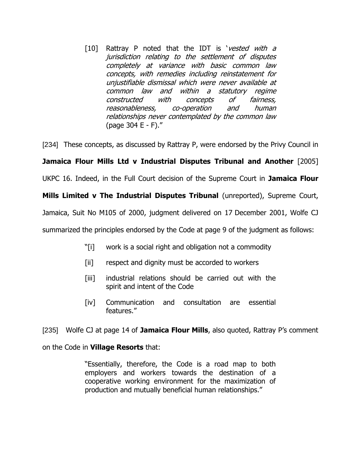[10] Rattray P noted that the IDT is 'vested with a jurisdiction relating to the settlement of disputes completely at variance with basic common law concepts, with remedies including reinstatement for unjustifiable dismissal which were never available at common law and within a statutory regime constructed with concepts of fairness, reasonableness, co-operation and human relationships never contemplated by the common law (page  $304 E - F$ )."

[234] These concepts, as discussed by Rattray P, were endorsed by the Privy Council in

**Jamaica Flour Mills Ltd v Industrial Disputes Tribunal and Another** [2005]

UKPC 16. Indeed, in the Full Court decision of the Supreme Court in **Jamaica Flour** 

**Mills Limited v The Industrial Disputes Tribunal** (unreported), Supreme Court,

Jamaica, Suit No M105 of 2000, judgment delivered on 17 December 2001, Wolfe CJ

summarized the principles endorsed by the Code at page 9 of the judgment as follows:

- "[i] work is a social right and obligation not a commodity
- [ii] respect and dignity must be accorded to workers
- [iii] industrial relations should be carried out with the spirit and intent of the Code
- [iv] Communication and consultation are essential features."

[235] Wolfe CJ at page 14 of **Jamaica Flour Mills**, also quoted, Rattray P's comment

on the Code in **Village Resorts** that:

―Essentially, therefore, the Code is a road map to both employers and workers towards the destination of a cooperative working environment for the maximization of production and mutually beneficial human relationships."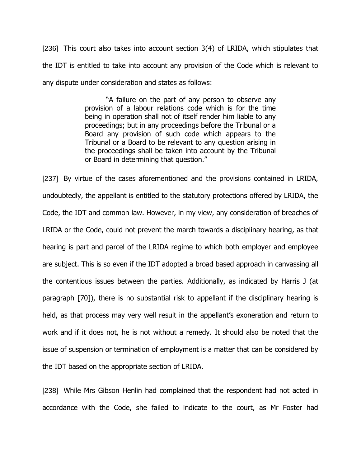[236] This court also takes into account section 3(4) of LRIDA, which stipulates that the IDT is entitled to take into account any provision of the Code which is relevant to any dispute under consideration and states as follows:

> "A failure on the part of any person to observe any provision of a labour relations code which is for the time being in operation shall not of itself render him liable to any proceedings; but in any proceedings before the Tribunal or a Board any provision of such code which appears to the Tribunal or a Board to be relevant to any question arising in the proceedings shall be taken into account by the Tribunal or Board in determining that question."

[237] By virtue of the cases aforementioned and the provisions contained in LRIDA, undoubtedly, the appellant is entitled to the statutory protections offered by LRIDA, the Code, the IDT and common law. However, in my view, any consideration of breaches of LRIDA or the Code, could not prevent the march towards a disciplinary hearing, as that hearing is part and parcel of the LRIDA regime to which both employer and employee are subject. This is so even if the IDT adopted a broad based approach in canvassing all the contentious issues between the parties. Additionally, as indicated by Harris J (at paragraph [70]), there is no substantial risk to appellant if the disciplinary hearing is held, as that process may very well result in the appellant's exoneration and return to work and if it does not, he is not without a remedy. It should also be noted that the issue of suspension or termination of employment is a matter that can be considered by the IDT based on the appropriate section of LRIDA.

[238] While Mrs Gibson Henlin had complained that the respondent had not acted in accordance with the Code, she failed to indicate to the court, as Mr Foster had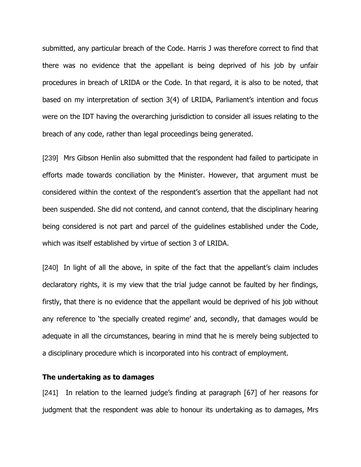submitted, any particular breach of the Code. Harris J was therefore correct to find that there was no evidence that the appellant is being deprived of his job by unfair procedures in breach of LRIDA or the Code. In that regard, it is also to be noted, that based on my interpretation of section 3(4) of LRIDA, Parliament's intention and focus were on the IDT having the overarching jurisdiction to consider all issues relating to the breach of any code, rather than legal proceedings being generated.

[239] Mrs Gibson Henlin also submitted that the respondent had failed to participate in efforts made towards conciliation by the Minister. However, that argument must be considered within the context of the respondent's assertion that the appellant had not been suspended. She did not contend, and cannot contend, that the disciplinary hearing being considered is not part and parcel of the guidelines established under the Code, which was itself established by virtue of section 3 of LRIDA.

[240] In light of all the above, in spite of the fact that the appellant's claim includes declaratory rights, it is my view that the trial judge cannot be faulted by her findings, firstly, that there is no evidence that the appellant would be deprived of his job without any reference to 'the specially created regime' and, secondly, that damages would be adequate in all the circumstances, bearing in mind that he is merely being subjected to a disciplinary procedure which is incorporated into his contract of employment.

#### **The undertaking as to damages**

[241] In relation to the learned judge's finding at paragraph [67] of her reasons for judgment that the respondent was able to honour its undertaking as to damages, Mrs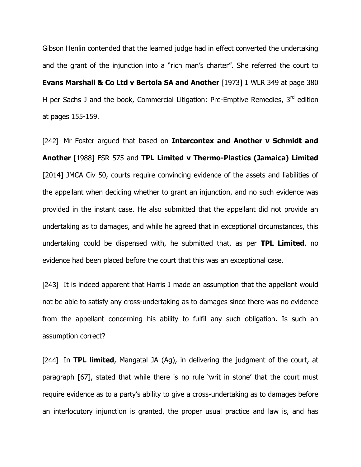Gibson Henlin contended that the learned judge had in effect converted the undertaking and the grant of the injunction into a "rich man's charter". She referred the court to **Evans Marshall & Co Ltd v Bertola SA and Another** [1973] 1 WLR 349 at page 380 H per Sachs J and the book, Commercial Litigation: Pre-Emptive Remedies, 3<sup>rd</sup> edition at pages 155-159.

[242] Mr Foster argued that based on **Intercontex and Another v Schmidt and Another** [1988] FSR 575 and **TPL Limited v Thermo-Plastics (Jamaica) Limited** [2014] JMCA Civ 50, courts require convincing evidence of the assets and liabilities of the appellant when deciding whether to grant an injunction, and no such evidence was provided in the instant case. He also submitted that the appellant did not provide an undertaking as to damages, and while he agreed that in exceptional circumstances, this undertaking could be dispensed with, he submitted that, as per **TPL Limited**, no evidence had been placed before the court that this was an exceptional case.

[243] It is indeed apparent that Harris J made an assumption that the appellant would not be able to satisfy any cross-undertaking as to damages since there was no evidence from the appellant concerning his ability to fulfil any such obligation. Is such an assumption correct?

[244] In **TPL limited**, Mangatal JA (Ag), in delivering the judgment of the court, at paragraph [67], stated that while there is no rule 'writ in stone' that the court must require evidence as to a party's ability to give a cross-undertaking as to damages before an interlocutory injunction is granted, the proper usual practice and law is, and has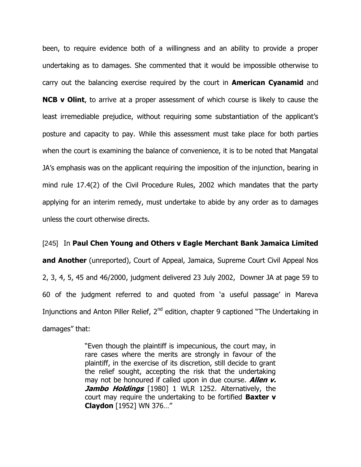been, to require evidence both of a willingness and an ability to provide a proper undertaking as to damages. She commented that it would be impossible otherwise to carry out the balancing exercise required by the court in **American Cyanamid** and **NCB v Olint**, to arrive at a proper assessment of which course is likely to cause the least irremediable prejudice, without requiring some substantiation of the applicant's posture and capacity to pay. While this assessment must take place for both parties when the court is examining the balance of convenience, it is to be noted that Mangatal JA's emphasis was on the applicant requiring the imposition of the injunction, bearing in mind rule 17.4(2) of the Civil Procedure Rules, 2002 which mandates that the party applying for an interim remedy, must undertake to abide by any order as to damages unless the court otherwise directs.

#### [245] In **Paul Chen Young and Others v Eagle Merchant Bank Jamaica Limited**

**and Another** (unreported), Court of Appeal, Jamaica, Supreme Court Civil Appeal Nos 2, 3, 4, 5, 45 and 46/2000, judgment delivered 23 July 2002, Downer JA at page 59 to 60 of the judgment referred to and quoted from 'a useful passage' in Mareva Injunctions and Anton Piller Relief, 2<sup>nd</sup> edition, chapter 9 captioned "The Undertaking in damages" that:

> ―Even though the plaintiff is impecunious, the court may, in rare cases where the merits are strongly in favour of the plaintiff, in the exercise of its discretion, still decide to grant the relief sought, accepting the risk that the undertaking may not be honoured if called upon in due course. **Allen v. Jambo Holdings** [1980] 1 WLR 1252. Alternatively, the court may require the undertaking to be fortified **Baxter v Claydon** [1952] WN 376…''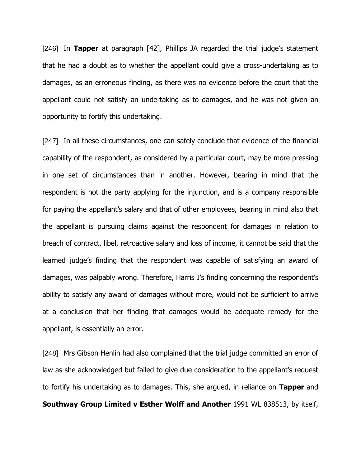[246] In **Tapper** at paragraph [42], Phillips JA regarded the trial judge's statement that he had a doubt as to whether the appellant could give a cross-undertaking as to damages, as an erroneous finding, as there was no evidence before the court that the appellant could not satisfy an undertaking as to damages, and he was not given an opportunity to fortify this undertaking.

[247] In all these circumstances, one can safely conclude that evidence of the financial capability of the respondent, as considered by a particular court, may be more pressing in one set of circumstances than in another. However, bearing in mind that the respondent is not the party applying for the injunction, and is a company responsible for paying the appellant's salary and that of other employees, bearing in mind also that the appellant is pursuing claims against the respondent for damages in relation to breach of contract, libel, retroactive salary and loss of income, it cannot be said that the learned judge's finding that the respondent was capable of satisfying an award of damages, was palpably wrong. Therefore, Harris J's finding concerning the respondent's ability to satisfy any award of damages without more, would not be sufficient to arrive at a conclusion that her finding that damages would be adequate remedy for the appellant, is essentially an error.

[248] Mrs Gibson Henlin had also complained that the trial judge committed an error of law as she acknowledged but failed to give due consideration to the appellant's request to fortify his undertaking as to damages. This, she argued, in reliance on **Tapper** and **Southway Group Limited v Esther Wolff and Another** 1991 WL 838513, by itself,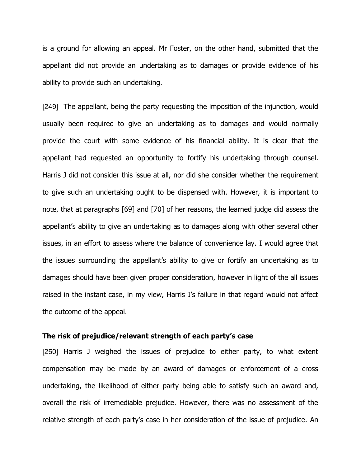is a ground for allowing an appeal. Mr Foster, on the other hand, submitted that the appellant did not provide an undertaking as to damages or provide evidence of his ability to provide such an undertaking.

[249] The appellant, being the party requesting the imposition of the injunction, would usually been required to give an undertaking as to damages and would normally provide the court with some evidence of his financial ability. It is clear that the appellant had requested an opportunity to fortify his undertaking through counsel. Harris J did not consider this issue at all, nor did she consider whether the requirement to give such an undertaking ought to be dispensed with. However, it is important to note, that at paragraphs [69] and [70] of her reasons, the learned judge did assess the appellant's ability to give an undertaking as to damages along with other several other issues, in an effort to assess where the balance of convenience lay. I would agree that the issues surrounding the appellant's ability to give or fortify an undertaking as to damages should have been given proper consideration, however in light of the all issues raised in the instant case, in my view, Harris J's failure in that regard would not affect the outcome of the appeal.

## **The risk of prejudice/relevant strength of each party's case**

[250] Harris J weighed the issues of prejudice to either party, to what extent compensation may be made by an award of damages or enforcement of a cross undertaking, the likelihood of either party being able to satisfy such an award and, overall the risk of irremediable prejudice. However, there was no assessment of the relative strength of each party's case in her consideration of the issue of prejudice. An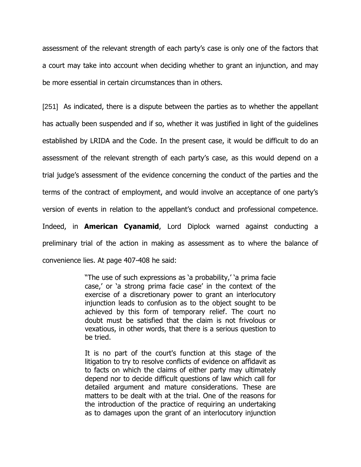assessment of the relevant strength of each party's case is only one of the factors that a court may take into account when deciding whether to grant an injunction, and may be more essential in certain circumstances than in others.

[251] As indicated, there is a dispute between the parties as to whether the appellant has actually been suspended and if so, whether it was justified in light of the guidelines established by LRIDA and the Code. In the present case, it would be difficult to do an assessment of the relevant strength of each party's case, as this would depend on a trial judge's assessment of the evidence concerning the conduct of the parties and the terms of the contract of employment, and would involve an acceptance of one party's version of events in relation to the appellant's conduct and professional competence. Indeed, in **American Cyanamid**, Lord Diplock warned against conducting a

preliminary trial of the action in making as assessment as to where the balance of

convenience lies. At page 407-408 he said:

"The use of such expressions as 'a probability,' 'a prima facie case,' or 'a strong prima facie case' in the context of the exercise of a discretionary power to grant an interlocutory injunction leads to confusion as to the object sought to be achieved by this form of temporary relief. The court no doubt must be satisfied that the claim is not frivolous or vexatious, in other words, that there is a serious question to be tried.

It is no part of the court's function at this stage of the litigation to try to resolve conflicts of evidence on affidavit as to facts on which the claims of either party may ultimately depend nor to decide difficult questions of law which call for detailed argument and mature considerations. These are matters to be dealt with at the trial. One of the reasons for the introduction of the practice of requiring an undertaking as to damages upon the grant of an interlocutory injunction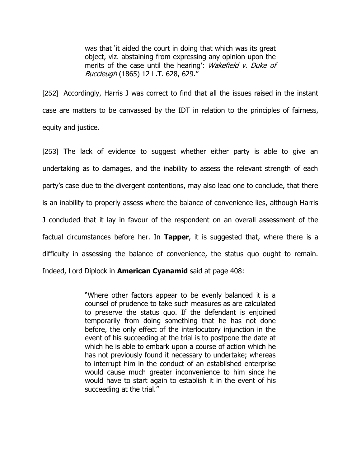was that 'it aided the court in doing that which was its great object, viz. abstaining from expressing any opinion upon the merits of the case until the hearing': Wakefield v. Duke of Buccleugh (1865) 12 L.T. 628, 629."

[252] Accordingly, Harris J was correct to find that all the issues raised in the instant case are matters to be canvassed by the IDT in relation to the principles of fairness, equity and justice.

[253] The lack of evidence to suggest whether either party is able to give an undertaking as to damages, and the inability to assess the relevant strength of each party's case due to the divergent contentions, may also lead one to conclude, that there is an inability to properly assess where the balance of convenience lies, although Harris J concluded that it lay in favour of the respondent on an overall assessment of the factual circumstances before her. In **Tapper**, it is suggested that, where there is a difficulty in assessing the balance of convenience, the status quo ought to remain. Indeed, Lord Diplock in **American Cyanamid** said at page 408:

> "Where other factors appear to be evenly balanced it is a counsel of prudence to take such measures as are calculated to preserve the status quo. If the defendant is enjoined temporarily from doing something that he has not done before, the only effect of the interlocutory injunction in the event of his succeeding at the trial is to postpone the date at which he is able to embark upon a course of action which he has not previously found it necessary to undertake; whereas to interrupt him in the conduct of an established enterprise would cause much greater inconvenience to him since he would have to start again to establish it in the event of his succeeding at the trial."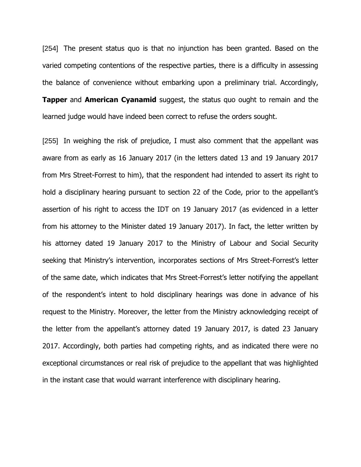[254] The present status quo is that no injunction has been granted. Based on the varied competing contentions of the respective parties, there is a difficulty in assessing the balance of convenience without embarking upon a preliminary trial. Accordingly, **Tapper** and **American Cyanamid** suggest, the status quo ought to remain and the learned judge would have indeed been correct to refuse the orders sought.

[255] In weighing the risk of prejudice, I must also comment that the appellant was aware from as early as 16 January 2017 (in the letters dated 13 and 19 January 2017 from Mrs Street-Forrest to him), that the respondent had intended to assert its right to hold a disciplinary hearing pursuant to section 22 of the Code, prior to the appellant's assertion of his right to access the IDT on 19 January 2017 (as evidenced in a letter from his attorney to the Minister dated 19 January 2017). In fact, the letter written by his attorney dated 19 January 2017 to the Ministry of Labour and Social Security seeking that Ministry's intervention, incorporates sections of Mrs Street-Forrest's letter of the same date, which indicates that Mrs Street-Forrest's letter notifying the appellant of the respondent's intent to hold disciplinary hearings was done in advance of his request to the Ministry. Moreover, the letter from the Ministry acknowledging receipt of the letter from the appellant's attorney dated 19 January 2017, is dated 23 January 2017. Accordingly, both parties had competing rights, and as indicated there were no exceptional circumstances or real risk of prejudice to the appellant that was highlighted in the instant case that would warrant interference with disciplinary hearing.